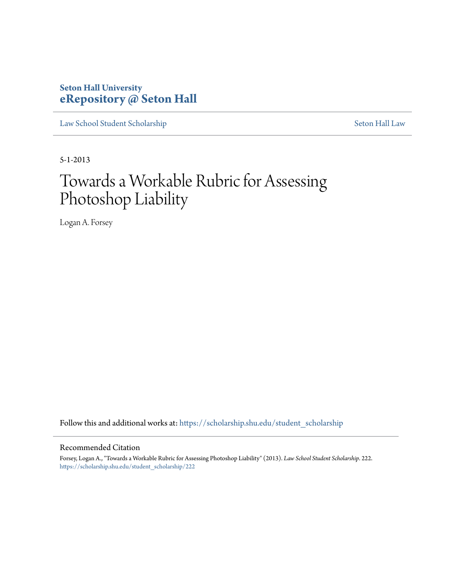# **Seton Hall University [eRepository @ Seton Hall](https://scholarship.shu.edu?utm_source=scholarship.shu.edu%2Fstudent_scholarship%2F222&utm_medium=PDF&utm_campaign=PDFCoverPages)**

[Law School Student Scholarship](https://scholarship.shu.edu/student_scholarship?utm_source=scholarship.shu.edu%2Fstudent_scholarship%2F222&utm_medium=PDF&utm_campaign=PDFCoverPages) [Seton Hall Law](https://scholarship.shu.edu/law?utm_source=scholarship.shu.edu%2Fstudent_scholarship%2F222&utm_medium=PDF&utm_campaign=PDFCoverPages)

5-1-2013

# Towards a Workable Rubric for Assessing Photoshop Liability

Logan A. Forsey

Follow this and additional works at: [https://scholarship.shu.edu/student\\_scholarship](https://scholarship.shu.edu/student_scholarship?utm_source=scholarship.shu.edu%2Fstudent_scholarship%2F222&utm_medium=PDF&utm_campaign=PDFCoverPages)

#### Recommended Citation

Forsey, Logan A., "Towards a Workable Rubric for Assessing Photoshop Liability" (2013). *Law School Student Scholarship*. 222. [https://scholarship.shu.edu/student\\_scholarship/222](https://scholarship.shu.edu/student_scholarship/222?utm_source=scholarship.shu.edu%2Fstudent_scholarship%2F222&utm_medium=PDF&utm_campaign=PDFCoverPages)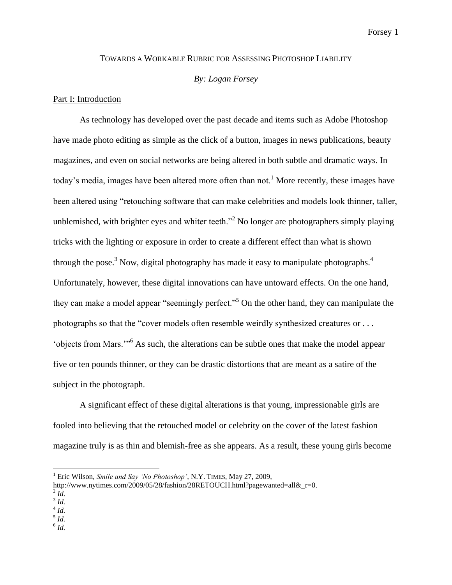# TOWARDS A WORKABLE RUBRIC FOR ASSESSING PHOTOSHOP LIABILITY

# *By: Logan Forsey*

# Part I: Introduction

As technology has developed over the past decade and items such as Adobe Photoshop have made photo editing as simple as the click of a button, images in news publications, beauty magazines, and even on social networks are being altered in both subtle and dramatic ways. In today's media, images have been altered more often than not.<sup>1</sup> More recently, these images have been altered using "retouching software that can make celebrities and models look thinner, taller, unblemished, with brighter eyes and whiter teeth.<sup>22</sup> No longer are photographers simply playing tricks with the lighting or exposure in order to create a different effect than what is shown through the pose.<sup>3</sup> Now, digital photography has made it easy to manipulate photographs.<sup>4</sup> Unfortunately, however, these digital innovations can have untoward effects. On the one hand, they can make a model appear "seemingly perfect."<sup>5</sup> On the other hand, they can manipulate the photographs so that the "cover models often resemble weirdly synthesized creatures or . . . 'objects from Mars.'"<sup>6</sup> As such, the alterations can be subtle ones that make the model appear five or ten pounds thinner, or they can be drastic distortions that are meant as a satire of the subject in the photograph.

A significant effect of these digital alterations is that young, impressionable girls are fooled into believing that the retouched model or celebrity on the cover of the latest fashion magazine truly is as thin and blemish-free as she appears. As a result, these young girls become

 $\overline{a}$ 

6 *Id.*

<sup>1</sup> Eric Wilson, *Smile and Say 'No Photoshop'*, N.Y. TIMES, May 27, 2009,

http://www.nytimes.com/2009/05/28/fashion/28RETOUCH.html?pagewanted=all&r=0.

 $^2$  *Id.* 

<sup>3</sup> *Id.* 4 *Id.*

<sup>5</sup> *Id.*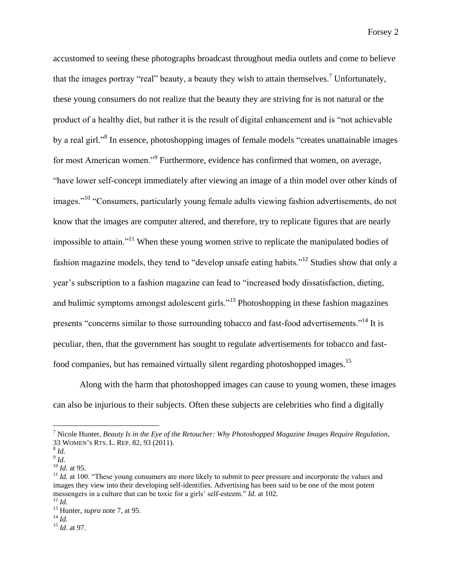accustomed to seeing these photographs broadcast throughout media outlets and come to believe that the images portray "real" beauty, a beauty they wish to attain themselves.<sup>7</sup> Unfortunately, these young consumers do not realize that the beauty they are striving for is not natural or the product of a healthy diet, but rather it is the result of digital enhancement and is "not achievable by a real girl."<sup>8</sup> In essence, photoshopping images of female models "creates unattainable images for most American women."<sup>9</sup> Furthermore, evidence has confirmed that women, on average, "have lower self-concept immediately after viewing an image of a thin model over other kinds of images."<sup>10</sup> "Consumers, particularly young female adults viewing fashion advertisements, do not know that the images are computer altered, and therefore, try to replicate figures that are nearly impossible to attain."<sup>11</sup> When these young women strive to replicate the manipulated bodies of fashion magazine models, they tend to "develop unsafe eating habits."<sup>12</sup> Studies show that only a year's subscription to a fashion magazine can lead to "increased body dissatisfaction, dieting, and bulimic symptoms amongst adolescent girls."<sup>13</sup> Photoshopping in these fashion magazines presents "concerns similar to those surrounding tobacco and fast-food advertisements."<sup>14</sup> It is peculiar, then, that the government has sought to regulate advertisements for tobacco and fastfood companies, but has remained virtually silent regarding photoshopped images.<sup>15</sup>

Along with the harm that photoshopped images can cause to young women, these images can also be injurious to their subjects. Often these subjects are celebrities who find a digitally

<sup>7</sup> Nicole Hunter, *Beauty Is in the Eye of the Retoucher: Why Photoshopped Magazine Images Require Regulation*, 33 WOMEN'S RTS. L. REP. 82, 93 (2011).

<sup>8</sup> *Id.*

<sup>9</sup> *Id.*

<sup>10</sup> *Id.* at 95.

<sup>&</sup>lt;sup>11</sup> *Id.* at 100. "These young consumers are more likely to submit to peer pressure and incorporate the values and images they view into their developing self-identifies. Advertising has been said to be one of the most potent messengers in a culture that can be toxic for a girls' self-esteem." *Id.* at 102.  $12$  *Id.* 

<sup>13</sup> Hunter, *supra* note 7, at 95.

<sup>14</sup> *Id.*

<sup>15</sup> *Id.* at 97.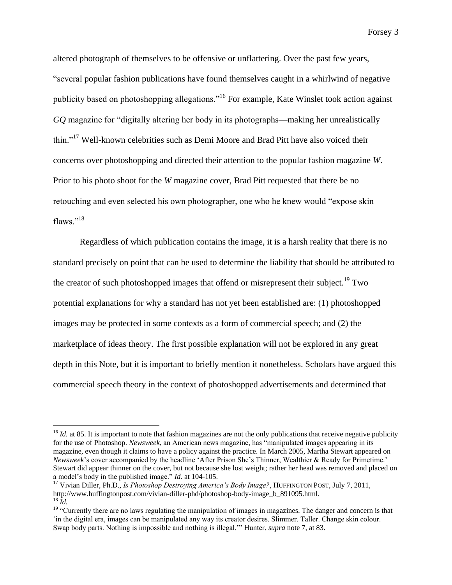altered photograph of themselves to be offensive or unflattering. Over the past few years, "several popular fashion publications have found themselves caught in a whirlwind of negative publicity based on photoshopping allegations."<sup>16</sup> For example, Kate Winslet took action against *GQ* magazine for "digitally altering her body in its photographs—making her unrealistically thin."<sup>17</sup> Well-known celebrities such as Demi Moore and Brad Pitt have also voiced their concerns over photoshopping and directed their attention to the popular fashion magazine *W*. Prior to his photo shoot for the *W* magazine cover, Brad Pitt requested that there be no retouching and even selected his own photographer, one who he knew would "expose skin flaws $^{18}$ 

Regardless of which publication contains the image, it is a harsh reality that there is no standard precisely on point that can be used to determine the liability that should be attributed to the creator of such photoshopped images that offend or misrepresent their subject.<sup>19</sup> Two potential explanations for why a standard has not yet been established are: (1) photoshopped images may be protected in some contexts as a form of commercial speech; and (2) the marketplace of ideas theory. The first possible explanation will not be explored in any great depth in this Note, but it is important to briefly mention it nonetheless. Scholars have argued this commercial speech theory in the context of photoshopped advertisements and determined that

<sup>&</sup>lt;sup>16</sup> *Id.* at 85. It is important to note that fashion magazines are not the only publications that receive negative publicity for the use of Photoshop. *Newsweek*, an American news magazine, has "manipulated images appearing in its magazine, even though it claims to have a policy against the practice. In March 2005, Martha Stewart appeared on *Newsweek*'s cover accompanied by the headline 'After Prison She's Thinner, Wealthier & Ready for Primetime.' Stewart did appear thinner on the cover, but not because she lost weight; rather her head was removed and placed on a model's body in the published image." *Id.* at 104-105.

<sup>17</sup> Vivian Diller, Ph.D., *Is Photoshop Destroying America's Body Image?*, HUFFINGTON POST, July 7, 2011, http://www.huffingtonpost.com/vivian-diller-phd/photoshop-body-image\_b\_891095.html. <sup>18</sup> *Id.*

<sup>&</sup>lt;sup>19</sup> "Currently there are no laws regulating the manipulation of images in magazines. The danger and concern is that 'in the digital era, images can be manipulated any way its creator desires. Slimmer. Taller. Change skin colour. Swap body parts. Nothing is impossible and nothing is illegal.'" Hunter, *supra* note 7, at 83.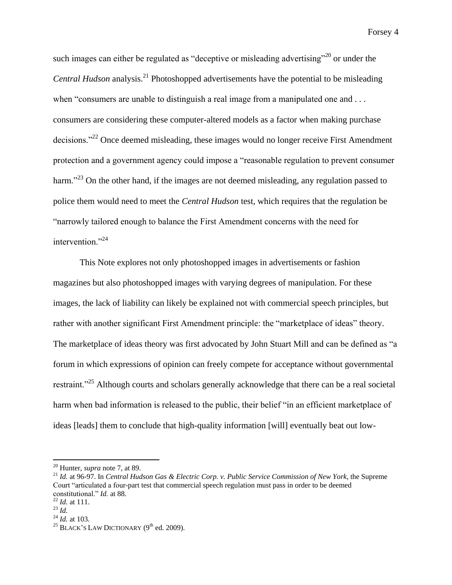such images can either be regulated as "deceptive or misleading advertising"<sup>20</sup> or under the *Central Hudson* analysis.<sup>21</sup> Photoshopped advertisements have the potential to be misleading when "consumers are unable to distinguish a real image from a manipulated one and ... consumers are considering these computer-altered models as a factor when making purchase decisions."<sup>22</sup> Once deemed misleading, these images would no longer receive First Amendment protection and a government agency could impose a "reasonable regulation to prevent consumer harm."<sup>23</sup> On the other hand, if the images are not deemed misleading, any regulation passed to police them would need to meet the *Central Hudson* test, which requires that the regulation be "narrowly tailored enough to balance the First Amendment concerns with the need for intervention."<sup>24</sup>

This Note explores not only photoshopped images in advertisements or fashion magazines but also photoshopped images with varying degrees of manipulation. For these images, the lack of liability can likely be explained not with commercial speech principles, but rather with another significant First Amendment principle: the "marketplace of ideas" theory. The marketplace of ideas theory was first advocated by John Stuart Mill and can be defined as "a forum in which expressions of opinion can freely compete for acceptance without governmental restraint.<sup>"25</sup> Although courts and scholars generally acknowledge that there can be a real societal harm when bad information is released to the public, their belief "in an efficient marketplace of ideas [leads] them to conclude that high-quality information [will] eventually beat out low-

<sup>20</sup> Hunter, *supra* note 7, at 89.

<sup>21</sup> *Id.* at 96-97. In *Central Hudson Gas & Electric Corp. v. Public Service Commission of New York*, the Supreme Court "articulated a four-part test that commercial speech regulation must pass in order to be deemed constitutional." *Id.* at 88.

<sup>22</sup> *Id.* at 111.

 $^{23}$  *Id.* 

<sup>24</sup> *Id.* at 103.

<sup>&</sup>lt;sup>25</sup> BLACK'S LAW DICTIONARY ( $9<sup>th</sup>$  ed. 2009).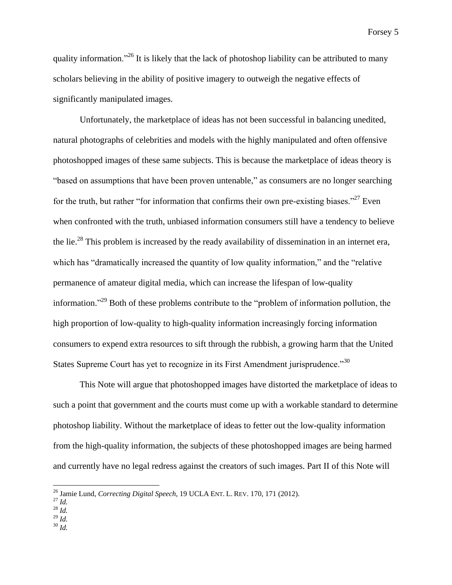quality information."<sup>26</sup> It is likely that the lack of photoshop liability can be attributed to many scholars believing in the ability of positive imagery to outweigh the negative effects of significantly manipulated images.

Unfortunately, the marketplace of ideas has not been successful in balancing unedited, natural photographs of celebrities and models with the highly manipulated and often offensive photoshopped images of these same subjects. This is because the marketplace of ideas theory is "based on assumptions that have been proven untenable," as consumers are no longer searching for the truth, but rather "for information that confirms their own pre-existing biases."<sup>27</sup> Even when confronted with the truth, unbiased information consumers still have a tendency to believe the lie.<sup>28</sup> This problem is increased by the ready availability of dissemination in an internet era, which has "dramatically increased the quantity of low quality information," and the "relative permanence of amateur digital media, which can increase the lifespan of low-quality information." <sup>29</sup> Both of these problems contribute to the "problem of information pollution, the high proportion of low-quality to high-quality information increasingly forcing information consumers to expend extra resources to sift through the rubbish, a growing harm that the United States Supreme Court has yet to recognize in its First Amendment jurisprudence."<sup>30</sup>

This Note will argue that photoshopped images have distorted the marketplace of ideas to such a point that government and the courts must come up with a workable standard to determine photoshop liability. Without the marketplace of ideas to fetter out the low-quality information from the high-quality information, the subjects of these photoshopped images are being harmed and currently have no legal redress against the creators of such images. Part II of this Note will

 $\overline{a}$ 

<sup>30</sup> *Id.*

<sup>26</sup> Jamie Lund, *Correcting Digital Speech*, 19 UCLA ENT. L. REV. 170, 171 (2012).

<sup>27</sup> *Id.*

 $^{28}$  *Id.*  $^{29}$  *Id.*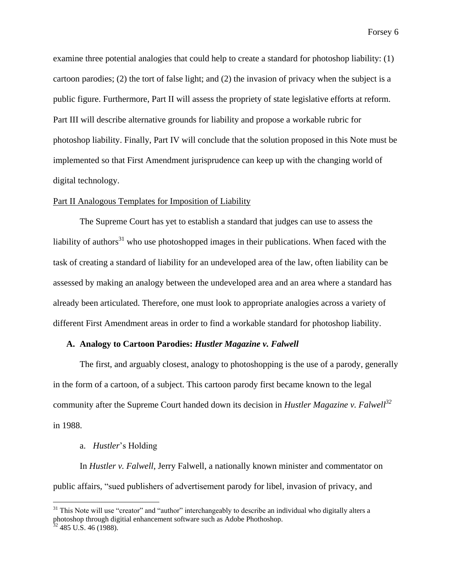examine three potential analogies that could help to create a standard for photoshop liability: (1) cartoon parodies; (2) the tort of false light; and (2) the invasion of privacy when the subject is a public figure. Furthermore, Part II will assess the propriety of state legislative efforts at reform. Part III will describe alternative grounds for liability and propose a workable rubric for photoshop liability. Finally, Part IV will conclude that the solution proposed in this Note must be implemented so that First Amendment jurisprudence can keep up with the changing world of digital technology.

# Part II Analogous Templates for Imposition of Liability

The Supreme Court has yet to establish a standard that judges can use to assess the liability of authors<sup>31</sup> who use photoshopped images in their publications. When faced with the task of creating a standard of liability for an undeveloped area of the law, often liability can be assessed by making an analogy between the undeveloped area and an area where a standard has already been articulated. Therefore, one must look to appropriate analogies across a variety of different First Amendment areas in order to find a workable standard for photoshop liability.

## **A. Analogy to Cartoon Parodies:** *Hustler Magazine v. Falwell*

The first, and arguably closest, analogy to photoshopping is the use of a parody, generally in the form of a cartoon, of a subject. This cartoon parody first became known to the legal community after the Supreme Court handed down its decision in *Hustler Magazine v. Falwell<sup>32</sup>* in 1988.

# a. *Hustler*'s Holding

 $\overline{a}$ 

In *Hustler v. Falwell*, Jerry Falwell, a nationally known minister and commentator on public affairs, "sued publishers of advertisement parody for libel, invasion of privacy, and

 $31$  This Note will use "creator" and "author" interchangeably to describe an individual who digitally alters a photoshop through digitial enhancement software such as Adobe Phothoshop.  $32$  485 U.S. 46 (1988).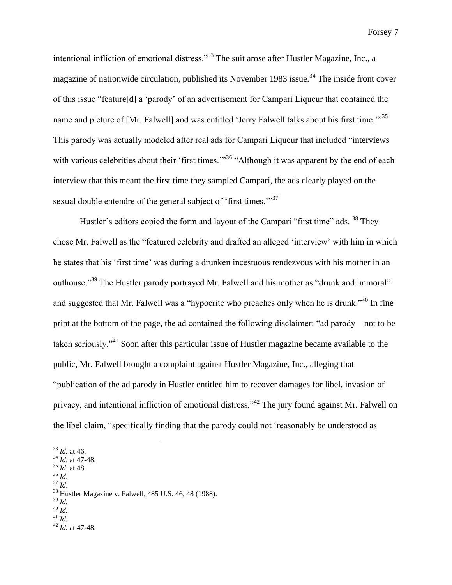intentional infliction of emotional distress."<sup>33</sup> The suit arose after Hustler Magazine, Inc., a magazine of nationwide circulation, published its November 1983 issue.<sup>34</sup> The inside front cover of this issue "feature[d] a 'parody' of an advertisement for Campari Liqueur that contained the name and picture of [Mr. Falwell] and was entitled 'Jerry Falwell talks about his first time."<sup>35</sup> This parody was actually modeled after real ads for Campari Liqueur that included "interviews with various celebrities about their 'first times.'<sup>36</sup> "Although it was apparent by the end of each interview that this meant the first time they sampled Campari, the ads clearly played on the sexual double entendre of the general subject of 'first times.'"<sup>37</sup>

Hustler's editors copied the form and layout of the Campari "first time" ads. <sup>38</sup> They chose Mr. Falwell as the "featured celebrity and drafted an alleged 'interview' with him in which he states that his 'first time' was during a drunken incestuous rendezvous with his mother in an outhouse."<sup>39</sup> The Hustler parody portrayed Mr. Falwell and his mother as "drunk and immoral" and suggested that Mr. Falwell was a "hypocrite who preaches only when he is drunk."<sup>40</sup> In fine print at the bottom of the page, the ad contained the following disclaimer: "ad parody—not to be taken seriously."<sup>41</sup> Soon after this particular issue of Hustler magazine became available to the public, Mr. Falwell brought a complaint against Hustler Magazine, Inc., alleging that "publication of the ad parody in Hustler entitled him to recover damages for libel, invasion of privacy, and intentional infliction of emotional distress."<sup>42</sup> The jury found against Mr. Falwell on the libel claim, "specifically finding that the parody could not 'reasonably be understood as

- <sup>35</sup> *Id*. at 48.
- <sup>36</sup> *Id*. <sup>37</sup> *Id*.
- 

- <sup>39</sup> *Id.*
- $^{40}$   $^{141}$ .
- $^{41}$  *Id.*

 $\overline{a}$ <sup>33</sup> *Id.* at 46.

<sup>34</sup> *Id*. at 47-48.

 $38$  Hustler Magazine v. Falwell, 485 U.S. 46, 48 (1988).

<sup>42</sup> *Id.* at 47-48.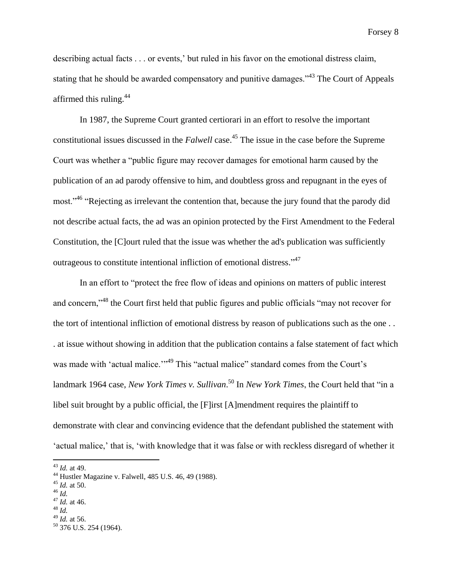describing actual facts . . . or events,' but ruled in his favor on the emotional distress claim, stating that he should be awarded compensatory and punitive damages."<sup>43</sup> The Court of Appeals affirmed this ruling.<sup>44</sup>

In 1987, the Supreme Court granted certiorari in an effort to resolve the important constitutional issues discussed in the *Falwell* case.<sup>45</sup> The issue in the case before the Supreme Court was whether a "public figure may recover damages for emotional harm caused by the publication of an ad parody offensive to him, and doubtless gross and repugnant in the eyes of most."<sup>46</sup> "Rejecting as irrelevant the contention that, because the jury found that the parody did not describe actual facts, the ad was an opinion protected by the First Amendment to the Federal Constitution, the [C]ourt ruled that the issue was whether the ad's publication was sufficiently outrageous to constitute intentional infliction of emotional distress."<sup>47</sup>

In an effort to "protect the free flow of ideas and opinions on matters of public interest and concern,"<sup>48</sup> the Court first held that public figures and public officials "may not recover for the tort of intentional infliction of emotional distress by reason of publications such as the one . . . at issue without showing in addition that the publication contains a false statement of fact which was made with 'actual malice.'"<sup>49</sup> This "actual malice" standard comes from the Court's landmark 1964 case, *New York Times v. Sullivan*. <sup>50</sup> In *New York Times*, the Court held that "in a libel suit brought by a public official, the [F]irst [A]mendment requires the plaintiff to demonstrate with clear and convincing evidence that the defendant published the statement with 'actual malice,' that is, 'with knowledge that it was false or with reckless disregard of whether it

- <sup>45</sup> *Id.* at 50.
- <sup>46</sup> *Id.*

- $47 \overline{1}$ *Id.* at 46.
- <sup>48</sup> *Id.*
- <sup>49</sup> *Id.* at 56.
- <sup>50</sup> 376 U.S. 254 (1964).

<sup>43</sup> *Id.* at 49.

<sup>44</sup> Hustler Magazine v. Falwell, 485 U.S. 46, 49 (1988).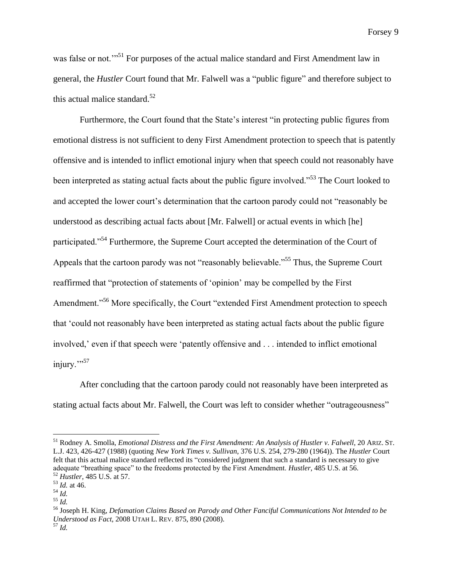was false or not."<sup>51</sup> For purposes of the actual malice standard and First Amendment law in general, the *Hustler* Court found that Mr. Falwell was a "public figure" and therefore subject to this actual malice standard.<sup>52</sup>

Furthermore, the Court found that the State's interest "in protecting public figures from emotional distress is not sufficient to deny First Amendment protection to speech that is patently offensive and is intended to inflict emotional injury when that speech could not reasonably have been interpreted as stating actual facts about the public figure involved."<sup>53</sup> The Court looked to and accepted the lower court's determination that the cartoon parody could not "reasonably be understood as describing actual facts about [Mr. Falwell] or actual events in which [he] participated."<sup>54</sup> Furthermore, the Supreme Court accepted the determination of the Court of Appeals that the cartoon parody was not "reasonably believable."<sup>55</sup> Thus, the Supreme Court reaffirmed that "protection of statements of 'opinion' may be compelled by the First Amendment."<sup>56</sup> More specifically, the Court "extended First Amendment protection to speech that 'could not reasonably have been interpreted as stating actual facts about the public figure involved,' even if that speech were 'patently offensive and . . . intended to inflict emotional injury."<sup>57</sup>

After concluding that the cartoon parody could not reasonably have been interpreted as stating actual facts about Mr. Falwell, the Court was left to consider whether "outrageousness"

<sup>51</sup> Rodney A. Smolla, *Emotional Distress and the First Amendment: An Analysis of Hustler v. Falwell*, 20 ARIZ. ST. L.J. 423, 426-427 (1988) (quoting *New York Times v. Sullivan*, 376 U.S. 254, 279-280 (1964)). The *Hustler* Court felt that this actual malice standard reflected its "considered judgment that such a standard is necessary to give adequate "breathing space" to the freedoms protected by the First Amendment. *Hustler*, 485 U.S. at 56. <sup>52</sup> *Hustler*, 485 U.S. at 57.

<sup>53</sup> *Id.* at 46.

<sup>54</sup> *Id.*

<sup>55</sup> *Id.*

<sup>56</sup> Joseph H. King, *Defamation Claims Based on Parody and Other Fanciful Communications Not Intended to be Understood as Fact*, 2008 UTAH L. REV. 875, 890 (2008). <sup>57</sup> *Id.*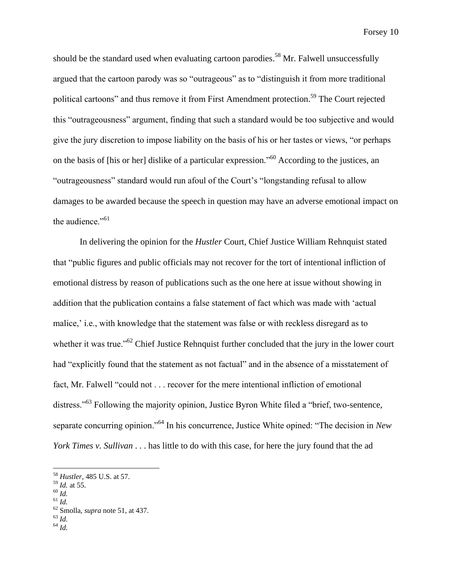should be the standard used when evaluating cartoon parodies.<sup>58</sup> Mr. Falwell unsuccessfully argued that the cartoon parody was so "outrageous" as to "distinguish it from more traditional political cartoons" and thus remove it from First Amendment protection.<sup>59</sup> The Court rejected this "outrageousness" argument, finding that such a standard would be too subjective and would give the jury discretion to impose liability on the basis of his or her tastes or views, "or perhaps on the basis of [his or her] dislike of a particular expression."<sup>60</sup> According to the justices, an "outrageousness" standard would run afoul of the Court's "longstanding refusal to allow damages to be awarded because the speech in question may have an adverse emotional impact on the audience."<sup>61</sup>

In delivering the opinion for the *Hustler* Court, Chief Justice William Rehnquist stated that "public figures and public officials may not recover for the tort of intentional infliction of emotional distress by reason of publications such as the one here at issue without showing in addition that the publication contains a false statement of fact which was made with 'actual malice,' i.e., with knowledge that the statement was false or with reckless disregard as to whether it was true."<sup>62</sup> Chief Justice Rehnquist further concluded that the jury in the lower court had "explicitly found that the statement as not factual" and in the absence of a misstatement of fact, Mr. Falwell "could not . . . recover for the mere intentional infliction of emotional distress."<sup>63</sup> Following the majority opinion, Justice Byron White filed a "brief, two-sentence, separate concurring opinion."<sup>64</sup> In his concurrence, Justice White opined: "The decision in *New York Times v. Sullivan* . . . has little to do with this case, for here the jury found that the ad

<sup>60</sup> *Id.*

 $\overline{a}$ 

<sup>63</sup> *Id.*  $64 \frac{100}{10}$ 

<sup>58</sup> *Hustler*, 485 U.S. at 57.

<sup>59</sup> *Id.* at 55.

<sup>61</sup> *Id.*

<sup>62</sup> Smolla, *supra* note 51, at 437.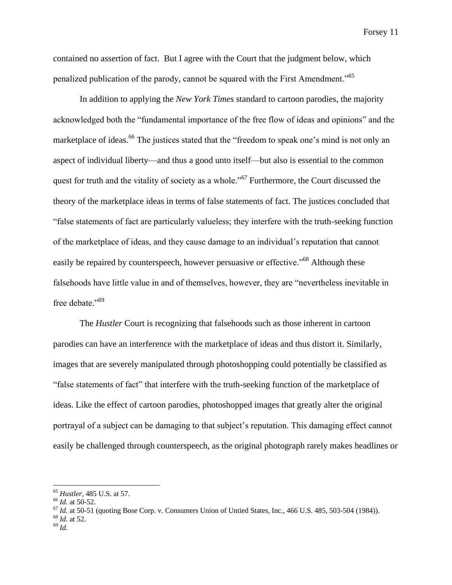contained no assertion of fact. But I agree with the Court that the judgment below, which penalized publication of the parody, cannot be squared with the First Amendment."<sup>65</sup>

In addition to applying the *New York Times* standard to cartoon parodies, the majority acknowledged both the "fundamental importance of the free flow of ideas and opinions" and the marketplace of ideas.<sup>66</sup> The justices stated that the "freedom to speak one's mind is not only an aspect of individual liberty—and thus a good unto itself—but also is essential to the common quest for truth and the vitality of society as a whole."<sup>67</sup> Furthermore, the Court discussed the theory of the marketplace ideas in terms of false statements of fact. The justices concluded that "false statements of fact are particularly valueless; they interfere with the truth-seeking function of the marketplace of ideas, and they cause damage to an individual's reputation that cannot easily be repaired by counterspeech, however persuasive or effective."<sup>68</sup> Although these falsehoods have little value in and of themselves, however, they are "nevertheless inevitable in free debate."<sup>69</sup>

The *Hustler* Court is recognizing that falsehoods such as those inherent in cartoon parodies can have an interference with the marketplace of ideas and thus distort it. Similarly, images that are severely manipulated through photoshopping could potentially be classified as "false statements of fact" that interfere with the truth-seeking function of the marketplace of ideas. Like the effect of cartoon parodies, photoshopped images that greatly alter the original portrayal of a subject can be damaging to that subject's reputation. This damaging effect cannot easily be challenged through counterspeech, as the original photograph rarely makes headlines or

<sup>68</sup> *Id.* at 52.

<sup>65</sup> *Hustler*, 485 U.S. at 57.

<sup>66</sup> *Id.* at 50-52.

<sup>67</sup> *Id.* at 50-51 (quoting Bose Corp. v. Consumers Union of Untied States, Inc*.*, 466 U.S. 485, 503-504 (1984)).

<sup>69</sup> *Id.*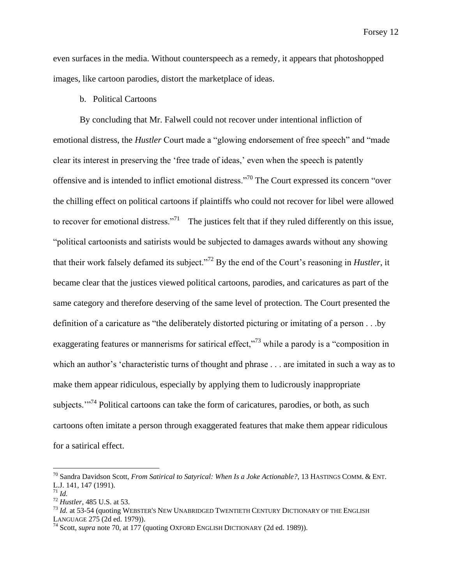even surfaces in the media. Without counterspeech as a remedy, it appears that photoshopped images, like cartoon parodies, distort the marketplace of ideas.

# b. Political Cartoons

By concluding that Mr. Falwell could not recover under intentional infliction of emotional distress, the *Hustler* Court made a "glowing endorsement of free speech" and "made clear its interest in preserving the 'free trade of ideas,' even when the speech is patently offensive and is intended to inflict emotional distress."<sup>70</sup> The Court expressed its concern "over the chilling effect on political cartoons if plaintiffs who could not recover for libel were allowed to recover for emotional distress."<sup>71</sup> The justices felt that if they ruled differently on this issue, "political cartoonists and satirists would be subjected to damages awards without any showing that their work falsely defamed its subject."<sup>72</sup> By the end of the Court's reasoning in *Hustler*, it became clear that the justices viewed political cartoons, parodies, and caricatures as part of the same category and therefore deserving of the same level of protection. The Court presented the definition of a caricature as "the deliberately distorted picturing or imitating of a person . . .by exaggerating features or mannerisms for satirical effect,"<sup>73</sup> while a parody is a "composition in which an author's 'characteristic turns of thought and phrase . . . are imitated in such a way as to make them appear ridiculous, especially by applying them to ludicrously inappropriate subjects."<sup>74</sup> Political cartoons can take the form of caricatures, parodies, or both, as such cartoons often imitate a person through exaggerated features that make them appear ridiculous for a satirical effect.

<sup>70</sup> Sandra Davidson Scott, *From Satirical to Satyrical: When Is a Joke Actionable?*, 13 HASTINGS COMM. & ENT. L.J. 141, 147 (1991).

 $^{71}$  *Id.* 

<sup>72</sup> *Hustler*, 485 U.S. at 53.

<sup>73</sup> *Id.* at 53-54 (quoting WEBSTER'S NEW UNABRIDGED TWENTIETH CENTURY DICTIONARY OF THE ENGLISH LANGUAGE 275 (2d ed. 1979)).

<sup>74</sup> Scott, *supra* note 70, at 177 (quoting OXFORD ENGLISH DICTIONARY (2d ed. 1989)).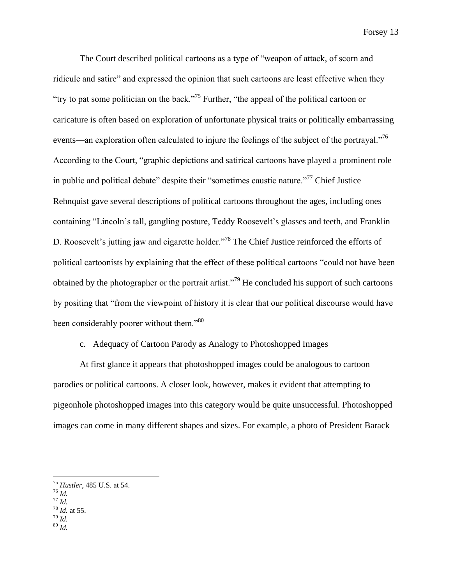The Court described political cartoons as a type of "weapon of attack, of scorn and ridicule and satire" and expressed the opinion that such cartoons are least effective when they "try to pat some politician on the back."<sup>75</sup> Further, "the appeal of the political cartoon or caricature is often based on exploration of unfortunate physical traits or politically embarrassing events—an exploration often calculated to injure the feelings of the subject of the portrayal."<sup>76</sup> According to the Court, "graphic depictions and satirical cartoons have played a prominent role in public and political debate" despite their "sometimes caustic nature."<sup>77</sup> Chief Justice Rehnquist gave several descriptions of political cartoons throughout the ages, including ones containing "Lincoln's tall, gangling posture, Teddy Roosevelt's glasses and teeth, and Franklin D. Roosevelt's jutting jaw and cigarette holder."<sup>78</sup> The Chief Justice reinforced the efforts of political cartoonists by explaining that the effect of these political cartoons "could not have been obtained by the photographer or the portrait artist."<sup>79</sup> He concluded his support of such cartoons by positing that "from the viewpoint of history it is clear that our political discourse would have been considerably poorer without them."<sup>80</sup>

# c. Adequacy of Cartoon Parody as Analogy to Photoshopped Images

At first glance it appears that photoshopped images could be analogous to cartoon parodies or political cartoons. A closer look, however, makes it evident that attempting to pigeonhole photoshopped images into this category would be quite unsuccessful. Photoshopped images can come in many different shapes and sizes. For example, a photo of President Barack

<sup>76</sup> *Id.*

- $\overline{77}$  *Id.*
- <sup>78</sup> *Id.* at 55.  $^{79}$  *Id.*
- <sup>80</sup> *Id.*

<sup>75</sup> *Hustler*, 485 U.S. at 54.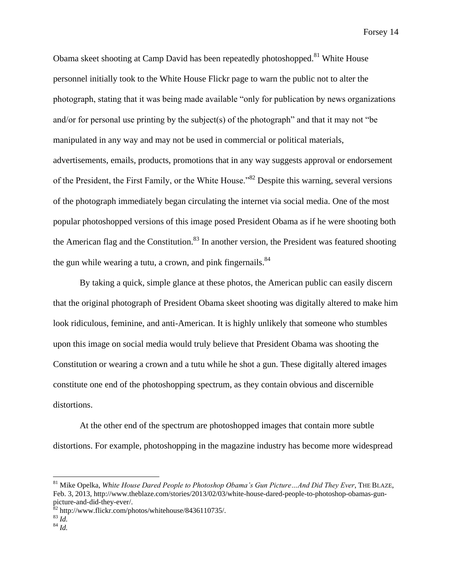Obama skeet shooting at Camp David has been repeatedly photoshopped.<sup>81</sup> White House personnel initially took to the White House Flickr page to warn the public not to alter the photograph, stating that it was being made available "only for publication by news organizations and/or for personal use printing by the subject(s) of the photograph" and that it may not "be manipulated in any way and may not be used in commercial or political materials, advertisements, emails, products, promotions that in any way suggests approval or endorsement of the President, the First Family, or the White House."<sup>82</sup> Despite this warning, several versions of the photograph immediately began circulating the internet via social media. One of the most popular photoshopped versions of this image posed President Obama as if he were shooting both the American flag and the Constitution. $83$  In another version, the President was featured shooting the gun while wearing a tutu, a crown, and pink fingernails. $84$ 

By taking a quick, simple glance at these photos, the American public can easily discern that the original photograph of President Obama skeet shooting was digitally altered to make him look ridiculous, feminine, and anti-American. It is highly unlikely that someone who stumbles upon this image on social media would truly believe that President Obama was shooting the Constitution or wearing a crown and a tutu while he shot a gun. These digitally altered images constitute one end of the photoshopping spectrum, as they contain obvious and discernible distortions.

At the other end of the spectrum are photoshopped images that contain more subtle distortions. For example, photoshopping in the magazine industry has become more widespread

<sup>81</sup> Mike Opelka, *White House Dared People to Photoshop Obama's Gun Picture…And Did They Ever*, THE BLAZE, Feb. 3, 2013, http://www.theblaze.com/stories/2013/02/03/white-house-dared-people-to-photoshop-obamas-gunpicture-and-did-they-ever/.

 $^{82}$  http://www.flickr.com/photos/whitehouse/8436110735/.

 $^{83}$  *Id.* 

 $^{84}$  *Id.*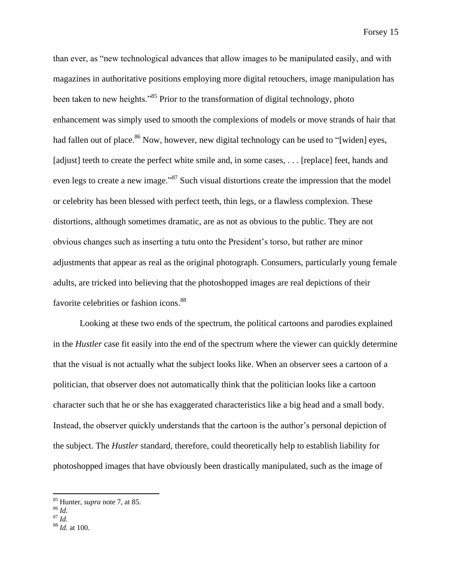than ever, as "new technological advances that allow images to be manipulated easily, and with magazines in authoritative positions employing more digital retouchers, image manipulation has been taken to new heights.<sup>385</sup> Prior to the transformation of digital technology, photo enhancement was simply used to smooth the complexions of models or move strands of hair that had fallen out of place.<sup>86</sup> Now, however, new digital technology can be used to "[widen] eyes, [adjust] teeth to create the perfect white smile and, in some cases, ... [replace] feet, hands and even legs to create a new image."<sup>87</sup> Such visual distortions create the impression that the model or celebrity has been blessed with perfect teeth, thin legs, or a flawless complexion. These distortions, although sometimes dramatic, are as not as obvious to the public. They are not obvious changes such as inserting a tutu onto the President's torso, but rather are minor adjustments that appear as real as the original photograph. Consumers, particularly young female adults, are tricked into believing that the photoshopped images are real depictions of their favorite celebrities or fashion icons.<sup>88</sup>

Looking at these two ends of the spectrum, the political cartoons and parodies explained in the *Hustler* case fit easily into the end of the spectrum where the viewer can quickly determine that the visual is not actually what the subject looks like. When an observer sees a cartoon of a politician, that observer does not automatically think that the politician looks like a cartoon character such that he or she has exaggerated characteristics like a big head and a small body. Instead, the observer quickly understands that the cartoon is the author's personal depiction of the subject. The *Hustler* standard, therefore, could theoretically help to establish liability for photoshopped images that have obviously been drastically manipulated, such as the image of

 $\overline{a}$ 

 $87 \frac{100}{10}$ 

<sup>85</sup> Hunter, *supra* note 7, at 85.

<sup>86</sup> *Id.*

<sup>88</sup> *Id.* at 100.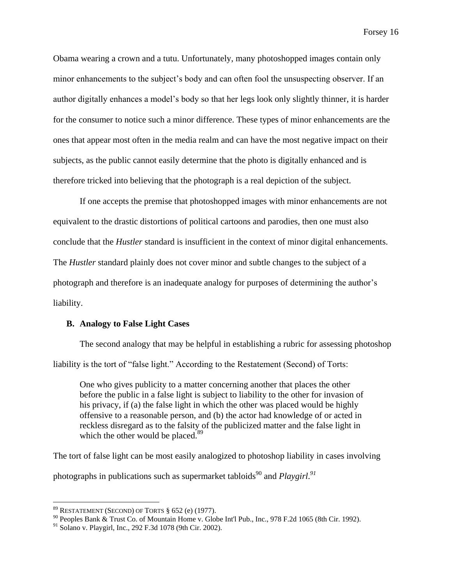Obama wearing a crown and a tutu. Unfortunately, many photoshopped images contain only minor enhancements to the subject's body and can often fool the unsuspecting observer. If an author digitally enhances a model's body so that her legs look only slightly thinner, it is harder for the consumer to notice such a minor difference. These types of minor enhancements are the ones that appear most often in the media realm and can have the most negative impact on their subjects, as the public cannot easily determine that the photo is digitally enhanced and is therefore tricked into believing that the photograph is a real depiction of the subject.

If one accepts the premise that photoshopped images with minor enhancements are not equivalent to the drastic distortions of political cartoons and parodies, then one must also conclude that the *Hustler* standard is insufficient in the context of minor digital enhancements. The *Hustler* standard plainly does not cover minor and subtle changes to the subject of a photograph and therefore is an inadequate analogy for purposes of determining the author's liability.

# **B. Analogy to False Light Cases**

The second analogy that may be helpful in establishing a rubric for assessing photoshop liability is the tort of "false light." According to the Restatement (Second) of Torts:

One who gives publicity to a matter concerning another that places the other before the public in a false light is subject to liability to the other for invasion of his privacy, if (a) the false light in which the other was placed would be highly offensive to a reasonable person, and (b) the actor had knowledge of or acted in reckless disregard as to the falsity of the publicized matter and the false light in which the other would be placed. $89$ 

The tort of false light can be most easily analogized to photoshop liability in cases involving

photographs in publications such as supermarket tabloids<sup>90</sup> and *Playgirl.*<sup>91</sup>

 $89$  RESTATEMENT (SECOND) OF TORTS  $§$  652 (e) (1977).

<sup>90</sup> Peoples Bank & Trust Co. of Mountain Home v. Globe Int'l Pub., Inc., 978 F.2d 1065 (8th Cir. 1992).

<sup>91</sup> Solano v. Playgirl, Inc., 292 F.3d 1078 (9th Cir. 2002).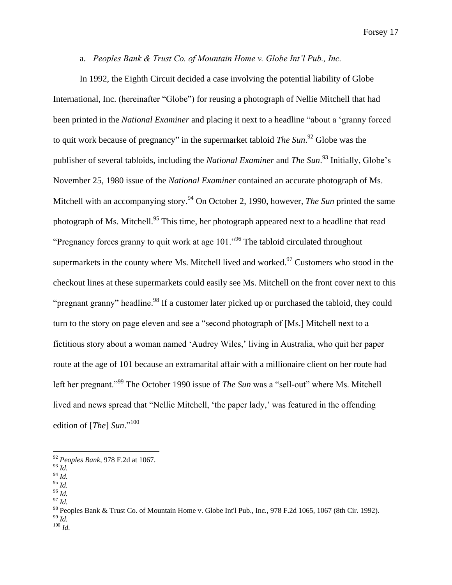# a. *Peoples Bank & Trust Co. of Mountain Home v. Globe Int'l Pub., Inc.*

In 1992, the Eighth Circuit decided a case involving the potential liability of Globe International, Inc. (hereinafter "Globe") for reusing a photograph of Nellie Mitchell that had been printed in the *National Examiner* and placing it next to a headline "about a 'granny forced to quit work because of pregnancy" in the supermarket tabloid *The Sun*. <sup>92</sup> Globe was the publisher of several tabloids, including the *National Examiner* and *The Sun*. <sup>93</sup> Initially, Globe's November 25, 1980 issue of the *National Examiner* contained an accurate photograph of Ms. Mitchell with an accompanying story.<sup>94</sup> On October 2, 1990, however, *The Sun* printed the same photograph of Ms. Mitchell.<sup>95</sup> This time, her photograph appeared next to a headline that read "Pregnancy forces granny to quit work at age 101."<sup>96</sup> The tabloid circulated throughout supermarkets in the county where Ms. Mitchell lived and worked.<sup>97</sup> Customers who stood in the checkout lines at these supermarkets could easily see Ms. Mitchell on the front cover next to this "pregnant granny" headline.<sup>98</sup> If a customer later picked up or purchased the tabloid, they could turn to the story on page eleven and see a "second photograph of [Ms.] Mitchell next to a fictitious story about a woman named 'Audrey Wiles,' living in Australia, who quit her paper route at the age of 101 because an extramarital affair with a millionaire client on her route had left her pregnant."<sup>99</sup> The October 1990 issue of *The Sun* was a "sell-out" where Ms. Mitchell lived and news spread that "Nellie Mitchell, 'the paper lady,' was featured in the offending edition of [*The*] *Sun*."<sup>100</sup>

 $\overline{a}$ 

<sup>95</sup> *Id.*

<sup>92</sup> *Peoples Bank*, 978 F.2d at 1067.

<sup>93</sup> *Id.*

<sup>94</sup> *Id.*

<sup>96</sup> *Id.* <sup>97</sup> *Id.*

<sup>98</sup> Peoples Bank & Trust Co. of Mountain Home v. Globe Int'l Pub., Inc., 978 F.2d 1065, 1067 (8th Cir. 1992). <sup>99</sup> *Id.*  $^{100}$  *Id.*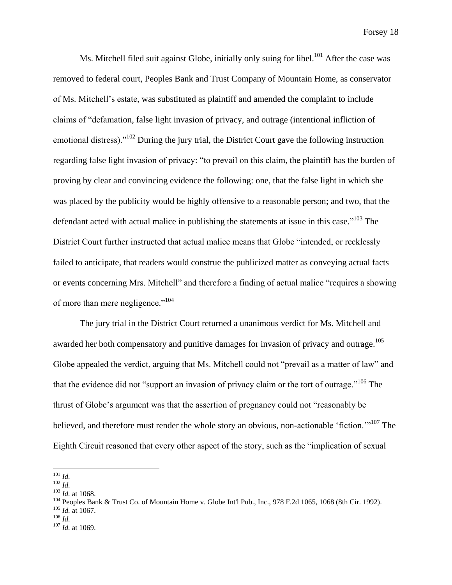Ms. Mitchell filed suit against Globe, initially only suing for libel.<sup>101</sup> After the case was removed to federal court, Peoples Bank and Trust Company of Mountain Home, as conservator of Ms. Mitchell's estate, was substituted as plaintiff and amended the complaint to include claims of "defamation, false light invasion of privacy, and outrage (intentional infliction of emotional distress).<sup>"102</sup> During the jury trial, the District Court gave the following instruction regarding false light invasion of privacy: "to prevail on this claim, the plaintiff has the burden of proving by clear and convincing evidence the following: one, that the false light in which she was placed by the publicity would be highly offensive to a reasonable person; and two, that the defendant acted with actual malice in publishing the statements at issue in this case."<sup>103</sup> The District Court further instructed that actual malice means that Globe "intended, or recklessly failed to anticipate, that readers would construe the publicized matter as conveying actual facts or events concerning Mrs. Mitchell" and therefore a finding of actual malice "requires a showing of more than mere negligence."<sup>104</sup>

The jury trial in the District Court returned a unanimous verdict for Ms. Mitchell and awarded her both compensatory and punitive damages for invasion of privacy and outrage.<sup>105</sup> Globe appealed the verdict, arguing that Ms. Mitchell could not "prevail as a matter of law" and that the evidence did not "support an invasion of privacy claim or the tort of outrage."<sup>106</sup> The thrust of Globe's argument was that the assertion of pregnancy could not "reasonably be believed, and therefore must render the whole story an obvious, non-actionable 'fiction.'"<sup>107</sup> The Eighth Circuit reasoned that every other aspect of the story, such as the "implication of sexual

 $\overline{a}$ <sup>101</sup> *Id.*

 $102 \overline{10}$ .

<sup>103</sup> *Id.* at 1068.

<sup>104</sup> Peoples Bank & Trust Co. of Mountain Home v. Globe Int'l Pub., Inc., 978 F.2d 1065, 1068 (8th Cir. 1992). <sup>105</sup> *Id.* at 1067.

<sup>106</sup> *Id.*

<sup>107</sup> *Id.* at 1069.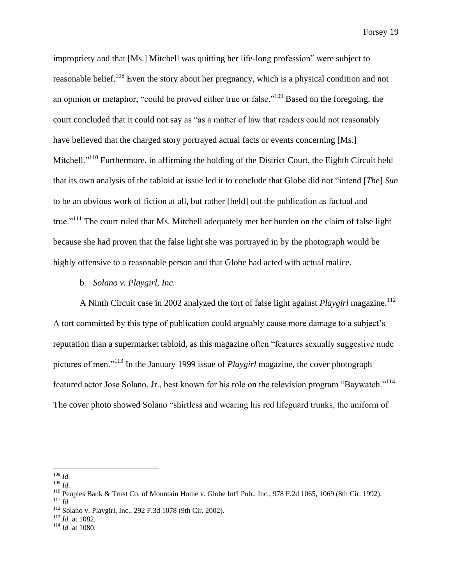impropriety and that [Ms.] Mitchell was quitting her life-long profession" were subject to reasonable belief.<sup>108</sup> Even the story about her pregnancy, which is a physical condition and not an opinion or metaphor, "could be proved either true or false."<sup>109</sup> Based on the foregoing, the court concluded that it could not say as "as a matter of law that readers could not reasonably have believed that the charged story portrayed actual facts or events concerning [Ms.] Mitchell."<sup>110</sup> Furthermore, in affirming the holding of the District Court, the Eighth Circuit held that its own analysis of the tabloid at issue led it to conclude that Globe did not "intend [*The*] *Sun* to be an obvious work of fiction at all, but rather [held] out the publication as factual and true."<sup>111</sup> The court ruled that Ms. Mitchell adequately met her burden on the claim of false light because she had proven that the false light she was portrayed in by the photograph would be highly offensive to a reasonable person and that Globe had acted with actual malice.

b. *Solano v. Playgirl, Inc.*

A Ninth Circuit case in 2002 analyzed the tort of false light against *Playgirl* magazine.<sup>112</sup> A tort committed by this type of publication could arguably cause more damage to a subject's reputation than a supermarket tabloid, as this magazine often "features sexually suggestive nude pictures of men."<sup>113</sup> In the January 1999 issue of *Playgirl* magazine, the cover photograph featured actor Jose Solano, Jr., best known for his role on the television program "Baywatch."<sup>114</sup> The cover photo showed Solano "shirtless and wearing his red lifeguard trunks, the uniform of

 $\overline{a}$ <sup>108</sup> *Id.*

<sup>109</sup> *Id.*

<sup>110</sup> Peoples Bank & Trust Co. of Mountain Home v. Globe Int'l Pub., Inc*.*, 978 F.2d 1065, 1069 (8th Cir. 1992). <sup>111</sup> *Id.*

<sup>112</sup> Solano v. Playgirl, Inc., 292 F.3d 1078 (9th Cir. 2002).

<sup>113</sup> *Id.* at 1082.

<sup>114</sup> *Id.* at 1080.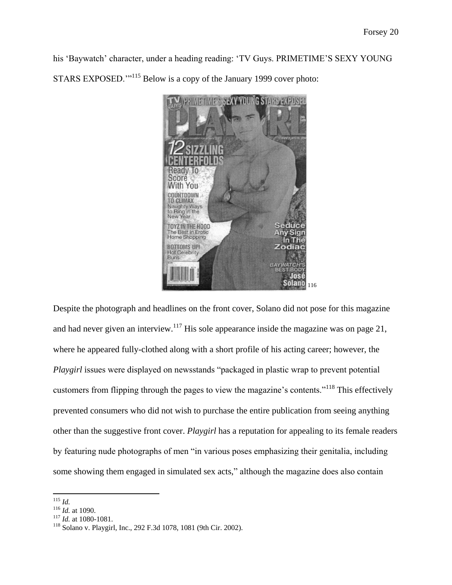his 'Baywatch' character, under a heading reading: 'TV Guys. PRIMETIME'S SEXY YOUNG STARS EXPOSED.'"<sup>115</sup> Below is a copy of the January 1999 cover photo:



Despite the photograph and headlines on the front cover, Solano did not pose for this magazine and had never given an interview.<sup>117</sup> His sole appearance inside the magazine was on page 21, where he appeared fully-clothed along with a short profile of his acting career; however, the *Playgirl* issues were displayed on newsstands "packaged in plastic wrap to prevent potential customers from flipping through the pages to view the magazine's contents."<sup>118</sup> This effectively prevented consumers who did not wish to purchase the entire publication from seeing anything other than the suggestive front cover. *Playgirl* has a reputation for appealing to its female readers by featuring nude photographs of men "in various poses emphasizing their genitalia, including some showing them engaged in simulated sex acts," although the magazine does also contain

 $\overline{a}$ <sup>115</sup> *Id.*

<sup>116</sup> *Id.* at 1090.

<sup>117</sup> *Id.* at 1080-1081.

<sup>118</sup> Solano v. Playgirl, Inc., 292 F.3d 1078, 1081 (9th Cir. 2002).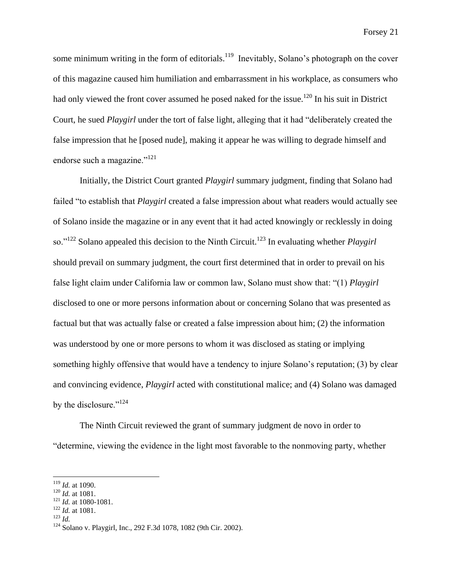some minimum writing in the form of editorials.<sup>119</sup> Inevitably, Solano's photograph on the cover of this magazine caused him humiliation and embarrassment in his workplace, as consumers who had only viewed the front cover assumed he posed naked for the issue.<sup>120</sup> In his suit in District Court, he sued *Playgirl* under the tort of false light, alleging that it had "deliberately created the false impression that he [posed nude], making it appear he was willing to degrade himself and endorse such a magazine."<sup>121</sup>

Initially, the District Court granted *Playgirl* summary judgment, finding that Solano had failed "to establish that *Playgirl* created a false impression about what readers would actually see of Solano inside the magazine or in any event that it had acted knowingly or recklessly in doing so."<sup>122</sup> Solano appealed this decision to the Ninth Circuit.<sup>123</sup> In evaluating whether *Playgirl* should prevail on summary judgment, the court first determined that in order to prevail on his false light claim under California law or common law, Solano must show that: "(1) *Playgirl* disclosed to one or more persons information about or concerning Solano that was presented as factual but that was actually false or created a false impression about him; (2) the information was understood by one or more persons to whom it was disclosed as stating or implying something highly offensive that would have a tendency to injure Solano's reputation; (3) by clear and convincing evidence, *Playgirl* acted with constitutional malice; and (4) Solano was damaged by the disclosure."<sup>124</sup>

The Ninth Circuit reviewed the grant of summary judgment de novo in order to "determine, viewing the evidence in the light most favorable to the nonmoving party, whether

<sup>122</sup> *Id.* at 1081.

<sup>119</sup> *Id.* at 1090.

 $120$  *Id.* at 1081.

 $121$  *Id.* at 1080-1081.

<sup>123</sup> *Id.*

<sup>124</sup> Solano v. Playgirl, Inc., 292 F.3d 1078, 1082 (9th Cir. 2002).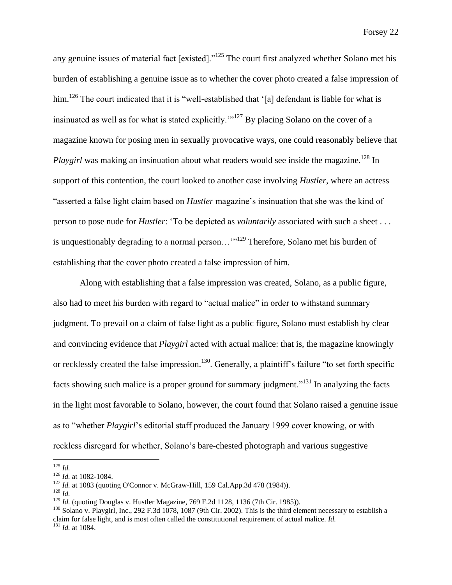any genuine issues of material fact [existed]."<sup>125</sup> The court first analyzed whether Solano met his burden of establishing a genuine issue as to whether the cover photo created a false impression of him.<sup>126</sup> The court indicated that it is "well-established that '[a] defendant is liable for what is insinuated as well as for what is stated explicitly.'"<sup>127</sup> By placing Solano on the cover of a magazine known for posing men in sexually provocative ways, one could reasonably believe that *Playgirl* was making an insinuation about what readers would see inside the magazine.<sup>128</sup> In support of this contention, the court looked to another case involving *Hustler*, where an actress "asserted a false light claim based on *Hustler* magazine's insinuation that she was the kind of person to pose nude for *Hustler*: 'To be depicted as *voluntarily* associated with such a sheet . . . is unquestionably degrading to a normal person..."<sup>129</sup> Therefore, Solano met his burden of establishing that the cover photo created a false impression of him.

Along with establishing that a false impression was created, Solano, as a public figure, also had to meet his burden with regard to "actual malice" in order to withstand summary judgment. To prevail on a claim of false light as a public figure, Solano must establish by clear and convincing evidence that *Playgirl* acted with actual malice: that is, the magazine knowingly or recklessly created the false impression.<sup>130</sup>. Generally, a plaintiff's failure "to set forth specific facts showing such malice is a proper ground for summary judgment."<sup>131</sup> In analyzing the facts in the light most favorable to Solano, however, the court found that Solano raised a genuine issue as to "whether *Playgirl*'s editorial staff produced the January 1999 cover knowing, or with reckless disregard for whether, Solano's bare-chested photograph and various suggestive

 $\overline{a}$ 

<sup>128</sup> *Id.*

<sup>125</sup> *Id.*

 $\frac{126}{126}$  *Id.* at 1082-1084.

<sup>127</sup> *Id.* at 1083 (quoting O'Connor v. McGraw-Hill, 159 Cal.App.3d 478 (1984)).

<sup>129</sup> *Id.* (quoting Douglas v. Hustler Magazine, 769 F.2d 1128, 1136 (7th Cir. 1985)).

<sup>&</sup>lt;sup>130</sup> Solano v. Playgirl, Inc., 292 F.3d 1078, 1087 (9th Cir. 2002). This is the third element necessary to establish a claim for false light, and is most often called the constitutional requirement of actual malice. *Id.* <sup>131</sup> *Id.* at 1084.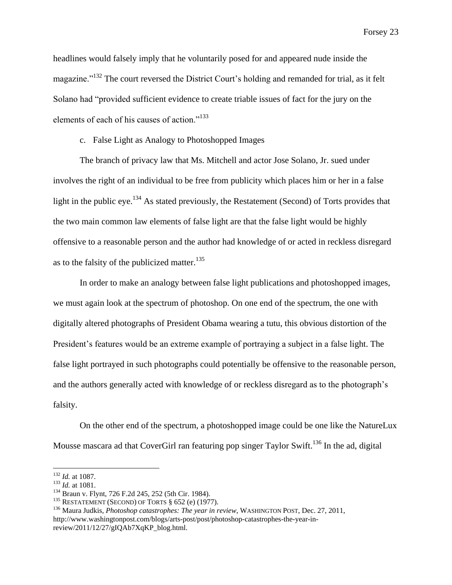headlines would falsely imply that he voluntarily posed for and appeared nude inside the magazine."<sup>132</sup> The court reversed the District Court's holding and remanded for trial, as it felt Solano had "provided sufficient evidence to create triable issues of fact for the jury on the elements of each of his causes of action."<sup>133</sup>

c. False Light as Analogy to Photoshopped Images

The branch of privacy law that Ms. Mitchell and actor Jose Solano, Jr. sued under involves the right of an individual to be free from publicity which places him or her in a false light in the public eye.<sup>134</sup> As stated previously, the Restatement (Second) of Torts provides that the two main common law elements of false light are that the false light would be highly offensive to a reasonable person and the author had knowledge of or acted in reckless disregard as to the falsity of the publicized matter. $135$ 

In order to make an analogy between false light publications and photoshopped images, we must again look at the spectrum of photoshop. On one end of the spectrum, the one with digitally altered photographs of President Obama wearing a tutu, this obvious distortion of the President's features would be an extreme example of portraying a subject in a false light. The false light portrayed in such photographs could potentially be offensive to the reasonable person, and the authors generally acted with knowledge of or reckless disregard as to the photograph's falsity.

On the other end of the spectrum, a photoshopped image could be one like the NatureLux Mousse mascara ad that CoverGirl ran featuring pop singer Taylor Swift.<sup>136</sup> In the ad, digital

 $\overline{a}$ <sup>132</sup> *Id.* at 1087.

<sup>133</sup> *Id.* at 1081.

<sup>134</sup> Braun v. Flynt, 726 F.2d 245, 252 (5th Cir. 1984).

 $135$  RESTATEMENT (SECOND) OF TORTS  $\S$  652 (e) (1977).

<sup>136</sup> Maura Judkis, *Photoshop catastrophes: The year in review*, WASHINGTON POST, Dec. 27, 2011, http://www.washingtonpost.com/blogs/arts-post/post/photoshop-catastrophes-the-year-inreview/2011/12/27/gIQAb7XqKP\_blog.html.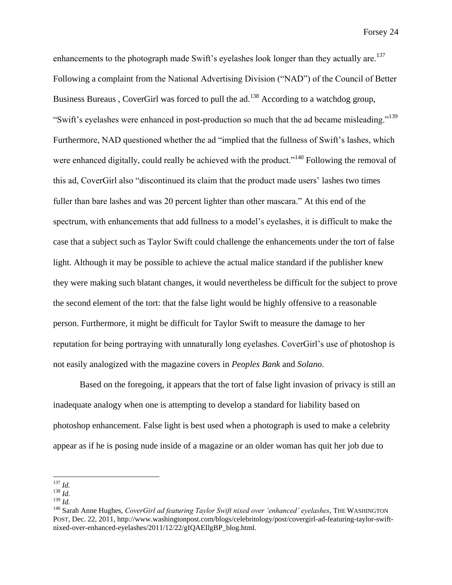enhancements to the photograph made Swift's eyelashes look longer than they actually are.<sup>137</sup> Following a complaint from the National Advertising Division ("NAD") of the Council of Better Business Bureaus, CoverGirl was forced to pull the ad.<sup>138</sup> According to a watchdog group, "Swift's eyelashes were enhanced in post-production so much that the ad became misleading."<sup>139</sup> Furthermore, NAD questioned whether the ad "implied that the fullness of Swift's lashes, which were enhanced digitally, could really be achieved with the product."<sup>140</sup> Following the removal of this ad, CoverGirl also "discontinued its claim that the product made users' lashes two times fuller than bare lashes and was 20 percent lighter than other mascara." At this end of the spectrum, with enhancements that add fullness to a model's eyelashes, it is difficult to make the case that a subject such as Taylor Swift could challenge the enhancements under the tort of false light. Although it may be possible to achieve the actual malice standard if the publisher knew they were making such blatant changes, it would nevertheless be difficult for the subject to prove the second element of the tort: that the false light would be highly offensive to a reasonable person. Furthermore, it might be difficult for Taylor Swift to measure the damage to her reputation for being portraying with unnaturally long eyelashes. CoverGirl's use of photoshop is not easily analogized with the magazine covers in *Peoples Bank* and *Solano*.

Based on the foregoing, it appears that the tort of false light invasion of privacy is still an inadequate analogy when one is attempting to develop a standard for liability based on photoshop enhancement. False light is best used when a photograph is used to make a celebrity appear as if he is posing nude inside of a magazine or an older woman has quit her job due to

 $\overline{a}$ <sup>137</sup> *Id.*

 $^{138}$  *Id.* 

<sup>139</sup> *Id.*

<sup>&</sup>lt;sup>140</sup> Sarah Anne Hughes, *CoverGirl ad featuring Taylor Swift nixed over 'enhanced' eyelashes*, THE WASHINGTON POST, Dec. 22, 2011, http://www.washingtonpost.com/blogs/celebritology/post/covergirl-ad-featuring-taylor-swiftnixed-over-enhanced-eyelashes/2011/12/22/gIQAEIlgBP\_blog.html.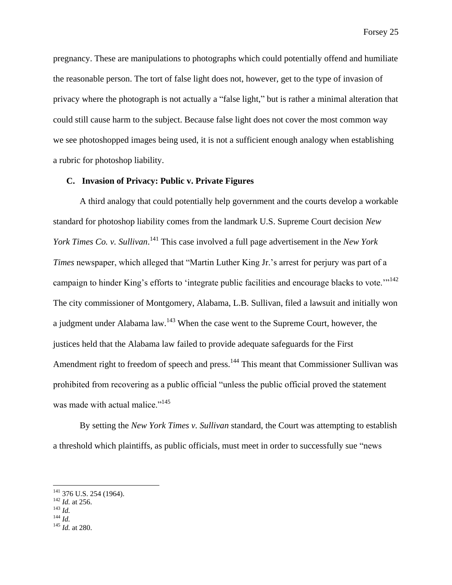pregnancy. These are manipulations to photographs which could potentially offend and humiliate the reasonable person. The tort of false light does not, however, get to the type of invasion of privacy where the photograph is not actually a "false light," but is rather a minimal alteration that could still cause harm to the subject. Because false light does not cover the most common way we see photoshopped images being used, it is not a sufficient enough analogy when establishing a rubric for photoshop liability.

# **C. Invasion of Privacy: Public v. Private Figures**

A third analogy that could potentially help government and the courts develop a workable standard for photoshop liability comes from the landmark U.S. Supreme Court decision *New York Times Co. v. Sullivan*. <sup>141</sup> This case involved a full page advertisement in the *New York Times* newspaper, which alleged that "Martin Luther King Jr.'s arrest for perjury was part of a campaign to hinder King's efforts to 'integrate public facilities and encourage blacks to vote."<sup>142</sup> The city commissioner of Montgomery, Alabama, L.B. Sullivan, filed a lawsuit and initially won a judgment under Alabama law.<sup>143</sup> When the case went to the Supreme Court, however, the justices held that the Alabama law failed to provide adequate safeguards for the First Amendment right to freedom of speech and press.<sup>144</sup> This meant that Commissioner Sullivan was prohibited from recovering as a public official "unless the public official proved the statement was made with actual malice."<sup>145</sup>

By setting the *New York Times v. Sullivan* standard, the Court was attempting to establish a threshold which plaintiffs, as public officials, must meet in order to successfully sue "news

<sup>&</sup>lt;sup>141</sup> 376 U.S. 254 (1964).

<sup>142</sup> *Id.* at 256.

<sup>143</sup> *Id.* <sup>144</sup> *Id.*

 $145$  *Id.* at 280.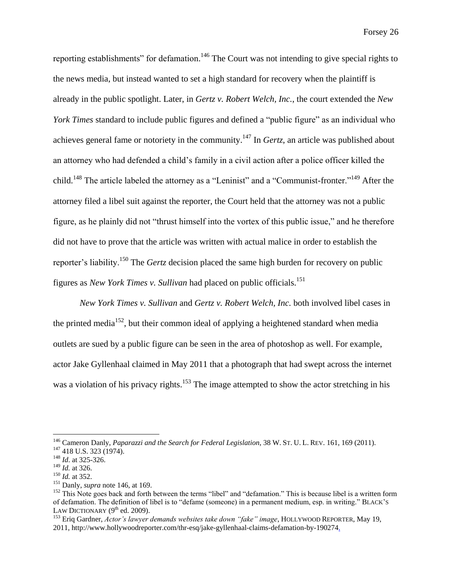reporting establishments" for defamation.<sup>146</sup> The Court was not intending to give special rights to the news media, but instead wanted to set a high standard for recovery when the plaintiff is already in the public spotlight. Later, in *Gertz v. Robert Welch, Inc.*, the court extended the *New York Times* standard to include public figures and defined a "public figure" as an individual who achieves general fame or notoriety in the community.<sup>147</sup> In *Gertz*, an article was published about an attorney who had defended a child's family in a civil action after a police officer killed the child.<sup>148</sup> The article labeled the attorney as a "Leninist" and a "Communist-fronter."<sup>149</sup> After the attorney filed a libel suit against the reporter, the Court held that the attorney was not a public figure, as he plainly did not "thrust himself into the vortex of this public issue," and he therefore did not have to prove that the article was written with actual malice in order to establish the reporter's liability.<sup>150</sup> The *Gertz* decision placed the same high burden for recovery on public figures as *New York Times v. Sullivan* had placed on public officials.<sup>151</sup>

*New York Times v. Sullivan* and *Gertz v. Robert Welch, Inc.* both involved libel cases in the printed media<sup>152</sup>, but their common ideal of applying a heightened standard when media outlets are sued by a public figure can be seen in the area of photoshop as well. For example, actor Jake Gyllenhaal claimed in May 2011 that a photograph that had swept across the internet was a violation of his privacy rights.<sup>153</sup> The image attempted to show the actor stretching in his

<sup>146</sup> Cameron Danly, *Paparazzi and the Search for Federal Legislation*, 38 W. ST. U. L. REV. 161, 169 (2011). <sup>147</sup> 418 U.S. 323 (1974).

<sup>148</sup> *Id*. at 325-326.

<sup>149</sup> *Id.* at 326.

<sup>150</sup> *Id.* at 352.

<sup>151</sup> Danly, *supra* note 146, at 169.

<sup>&</sup>lt;sup>152</sup> This Note goes back and forth between the terms "libel" and "defamation." This is because libel is a written form of defamation. The definition of libel is to "defame (someone) in a permanent medium, esp. in writing." BLACK'S LAW DICTIONARY  $(9<sup>th</sup>$  ed. 2009).

<sup>153</sup> Eriq Gardner, *Actor's lawyer demands websites take down "fake" image*, HOLLYWOOD REPORTER, May 19, 2011, http://www.hollywoodreporter.com/thr-esq/jake-gyllenhaal-claims-defamation-by-190274.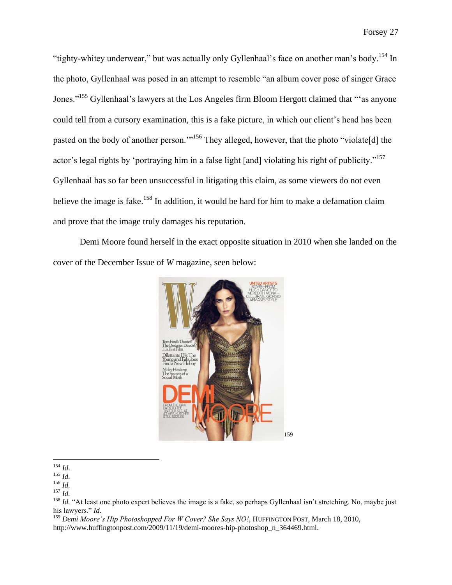"tighty-whitey underwear," but was actually only Gyllenhaal's face on another man's body.<sup>154</sup> In the photo, Gyllenhaal was posed in an attempt to resemble "an album cover pose of singer Grace Jones."<sup>155</sup> Gyllenhaal's lawyers at the Los Angeles firm Bloom Hergott claimed that "'as anyone could tell from a cursory examination, this is a fake picture, in which our client's head has been pasted on the body of another person."<sup>156</sup> They alleged, however, that the photo "violate[d] the actor's legal rights by 'portraying him in a false light [and] violating his right of publicity."<sup>157</sup> Gyllenhaal has so far been unsuccessful in litigating this claim, as some viewers do not even believe the image is fake.<sup>158</sup> In addition, it would be hard for him to make a defamation claim and prove that the image truly damages his reputation.

Demi Moore found herself in the exact opposite situation in 2010 when she landed on the cover of the December Issue of *W* magazine, seen below:



<sup>159</sup> *Demi Moore's Hip Photoshopped For W Cover? She Says NO!*, HUFFINGTON POST, March 18, 2010, http://www.huffingtonpost.com/2009/11/19/demi-moores-hip-photoshop\_n\_364469.html.

 $\overline{a}$ <sup>154</sup> *Id*.

 $155$   $\frac{1}{10}$ .

<sup>156</sup> *Id.*

<sup>157</sup> *Id.*

<sup>&</sup>lt;sup>158</sup> *Id.* "At least one photo expert believes the image is a fake, so perhaps Gyllenhaal isn't stretching. No, maybe just his lawyers." *Id.*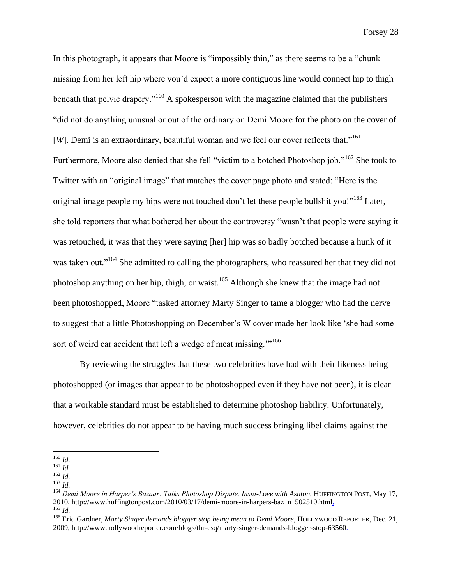In this photograph, it appears that Moore is "impossibly thin," as there seems to be a "chunk" missing from her left hip where you'd expect a more contiguous line would connect hip to thigh beneath that pelvic drapery."<sup>160</sup> A spokesperson with the magazine claimed that the publishers "did not do anything unusual or out of the ordinary on Demi Moore for the photo on the cover of [*W*]. Demi is an extraordinary, beautiful woman and we feel our cover reflects that."<sup>161</sup> Furthermore, Moore also denied that she fell "victim to a botched Photoshop job."<sup>162</sup> She took to Twitter with an "original image" that matches the cover page photo and stated: "Here is the original image people my hips were not touched don't let these people bullshit you!"<sup>163</sup> Later, she told reporters that what bothered her about the controversy "wasn't that people were saying it was retouched, it was that they were saying [her] hip was so badly botched because a hunk of it was taken out."<sup>164</sup> She admitted to calling the photographers, who reassured her that they did not photoshop anything on her hip, thigh, or waist.<sup>165</sup> Although she knew that the image had not been photoshopped, Moore "tasked attorney Marty Singer to tame a blogger who had the nerve to suggest that a little Photoshopping on December's W cover made her look like 'she had some sort of weird car accident that left a wedge of meat missing."<sup>166</sup>

By reviewing the struggles that these two celebrities have had with their likeness being photoshopped (or images that appear to be photoshopped even if they have not been), it is clear that a workable standard must be established to determine photoshop liability. Unfortunately, however, celebrities do not appear to be having much success bringing libel claims against the

 $\overline{a}$ <sup>160</sup> *Id.*

<sup>161</sup> *Id.*

<sup>162</sup> *Id.*

<sup>163</sup> *Id.*

<sup>164</sup> *Demi Moore in Harper's Bazaar: Talks Photoshop Dispute, Insta-Love with Ashton*, HUFFINGTON POST, May 17, 2010, http://www.huffingtonpost.com/2010/03/17/demi-moore-in-harpers-baz\_n\_502510.html. <sup>165</sup> *Id.*

<sup>&</sup>lt;sup>166</sup> Eriq Gardner, *Marty Singer demands blogger stop being mean to Demi Moore*, HOLLYWOOD REPORTER, Dec. 21, 2009, http://www.hollywoodreporter.com/blogs/thr-esq/marty-singer-demands-blogger-stop-63560.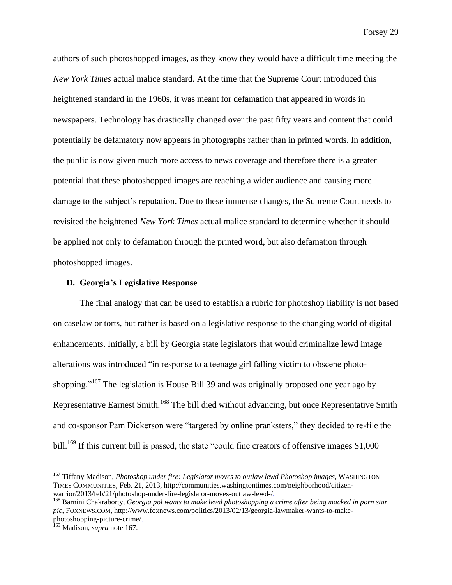authors of such photoshopped images, as they know they would have a difficult time meeting the *New York Times* actual malice standard. At the time that the Supreme Court introduced this heightened standard in the 1960s, it was meant for defamation that appeared in words in newspapers. Technology has drastically changed over the past fifty years and content that could potentially be defamatory now appears in photographs rather than in printed words. In addition, the public is now given much more access to news coverage and therefore there is a greater potential that these photoshopped images are reaching a wider audience and causing more damage to the subject's reputation. Due to these immense changes, the Supreme Court needs to revisited the heightened *New York Times* actual malice standard to determine whether it should be applied not only to defamation through the printed word, but also defamation through photoshopped images.

# **D. Georgia's Legislative Response**

The final analogy that can be used to establish a rubric for photoshop liability is not based on caselaw or torts, but rather is based on a legislative response to the changing world of digital enhancements. Initially, a bill by Georgia state legislators that would criminalize lewd image alterations was introduced "in response to a teenage girl falling victim to obscene photoshopping."<sup>167</sup> The legislation is House Bill 39 and was originally proposed one year ago by Representative Earnest Smith.<sup>168</sup> The bill died without advancing, but once Representative Smith and co-sponsor Pam Dickerson were "targeted by online pranksters," they decided to re-file the bill.<sup>169</sup> If this current bill is passed, the state "could fine creators of offensive images \$1,000

<sup>167</sup> Tiffany Madison, *Photoshop under fire: Legislator moves to outlaw lewd Photoshop images*, WASHINGTON TIMES COMMUNITIES, Feb. 21, 2013, http://communities.washingtontimes.com/neighborhood/citizenwarrior/2013/feb/21/photoshop-under-fire-legislator-moves-outlaw-lewd-/.

<sup>&</sup>lt;sup>168</sup> Barnini Chakraborty, *Georgia pol wants to make lewd photoshopping a crime after being mocked in porn star pic*, FOXNEWS.COM, http://www.foxnews.com/politics/2013/02/13/georgia-lawmaker-wants-to-makephotoshopping-picture-crime/.

<sup>169</sup> Madison, *supra* note 167.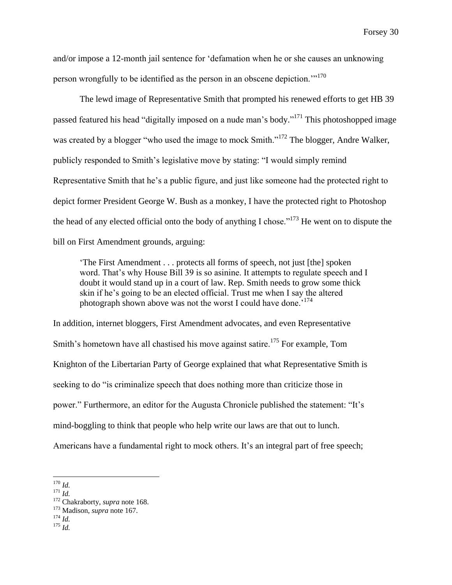and/or impose a 12-month jail sentence for 'defamation when he or she causes an unknowing person wrongfully to be identified as the person in an obscene depiction."<sup>170</sup>

The lewd image of Representative Smith that prompted his renewed efforts to get HB 39 passed featured his head "digitally imposed on a nude man's body."<sup>171</sup> This photoshopped image was created by a blogger "who used the image to mock Smith."<sup>172</sup> The blogger, Andre Walker, publicly responded to Smith's legislative move by stating: "I would simply remind Representative Smith that he's a public figure, and just like someone had the protected right to depict former President George W. Bush as a monkey, I have the protected right to Photoshop the head of any elected official onto the body of anything I chose."<sup>173</sup> He went on to dispute the bill on First Amendment grounds, arguing:

'The First Amendment . . . protects all forms of speech, not just [the] spoken word. That's why House Bill 39 is so asinine. It attempts to regulate speech and I doubt it would stand up in a court of law. Rep. Smith needs to grow some thick skin if he's going to be an elected official. Trust me when I say the altered photograph shown above was not the worst I could have done.<sup>174</sup>

In addition, internet bloggers, First Amendment advocates, and even Representative Smith's hometown have all chastised his move against satire.<sup>175</sup> For example, Tom Knighton of the Libertarian Party of George explained that what Representative Smith is seeking to do "is criminalize speech that does nothing more than criticize those in power." Furthermore, an editor for the Augusta Chronicle published the statement: "It's mind-boggling to think that people who help write our laws are that out to lunch. Americans have a fundamental right to mock others. It's an integral part of free speech;

- <sup>174</sup> *Id.*
- $175$  *Id.*

 $\overline{a}$ <sup>170</sup> *Id.*

<sup>171</sup> *Id.*

<sup>172</sup> Chakraborty, *supra* note 168.

<sup>173</sup> Madison, *supra* note 167.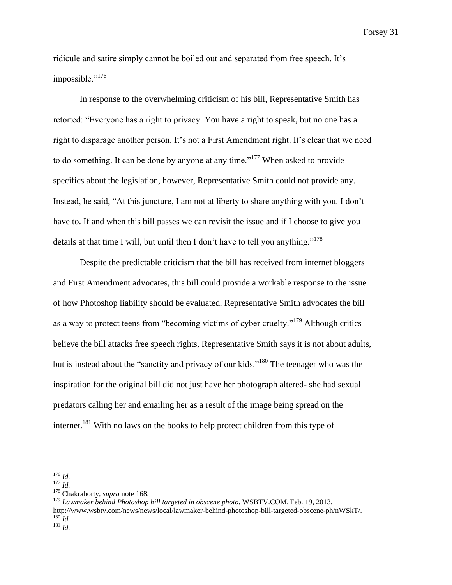ridicule and satire simply cannot be boiled out and separated from free speech. It's impossible."<sup>176</sup>

In response to the overwhelming criticism of his bill, Representative Smith has retorted: "Everyone has a right to privacy. You have a right to speak, but no one has a right to disparage another person. It's not a First Amendment right. It's clear that we need to do something. It can be done by anyone at any time."<sup>177</sup> When asked to provide specifics about the legislation, however, Representative Smith could not provide any. Instead, he said, "At this juncture, I am not at liberty to share anything with you. I don't have to. If and when this bill passes we can revisit the issue and if I choose to give you details at that time I will, but until then I don't have to tell you anything."<sup>178</sup>

Despite the predictable criticism that the bill has received from internet bloggers and First Amendment advocates, this bill could provide a workable response to the issue of how Photoshop liability should be evaluated. Representative Smith advocates the bill as a way to protect teens from "becoming victims of cyber cruelty."<sup>179</sup> Although critics believe the bill attacks free speech rights, Representative Smith says it is not about adults, but is instead about the "sanctity and privacy of our kids."<sup>180</sup> The teenager who was the inspiration for the original bill did not just have her photograph altered- she had sexual predators calling her and emailing her as a result of the image being spread on the internet.<sup>181</sup> With no laws on the books to help protect children from this type of

 $\overline{a}$ <sup>176</sup> *Id.*

 $^{177}$  *Id.* 

<sup>178</sup> Chakraborty, *supra* note 168.

<sup>179</sup> *Lawmaker behind Photoshop bill targeted in obscene photo*, WSBTV.COM, Feb. 19, 2013,

http://www.wsbtv.com/news/news/local/lawmaker-behind-photoshop-bill-targeted-obscene-ph/nWSkT/.  $^{180}$ *Id.* 

 $181 \frac{10}{10}$ .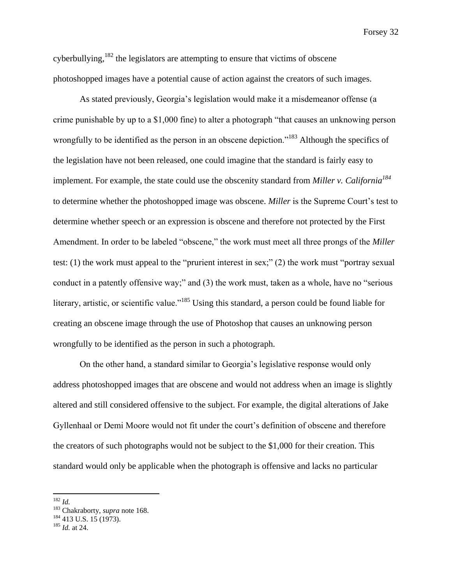cyberbullying, $182$  the legislators are attempting to ensure that victims of obscene photoshopped images have a potential cause of action against the creators of such images.

As stated previously, Georgia's legislation would make it a misdemeanor offense (a crime punishable by up to a \$1,000 fine) to alter a photograph "that causes an unknowing person wrongfully to be identified as the person in an obscene depiction."<sup>183</sup> Although the specifics of the legislation have not been released, one could imagine that the standard is fairly easy to implement. For example, the state could use the obscenity standard from *Miller v. California<sup>184</sup>* to determine whether the photoshopped image was obscene. *Miller* is the Supreme Court's test to determine whether speech or an expression is obscene and therefore not protected by the First Amendment. In order to be labeled "obscene," the work must meet all three prongs of the *Miller* test: (1) the work must appeal to the "prurient interest in sex;" (2) the work must "portray sexual conduct in a patently offensive way;" and (3) the work must, taken as a whole, have no "serious literary, artistic, or scientific value."<sup>185</sup> Using this standard, a person could be found liable for creating an obscene image through the use of Photoshop that causes an unknowing person wrongfully to be identified as the person in such a photograph.

On the other hand, a standard similar to Georgia's legislative response would only address photoshopped images that are obscene and would not address when an image is slightly altered and still considered offensive to the subject. For example, the digital alterations of Jake Gyllenhaal or Demi Moore would not fit under the court's definition of obscene and therefore the creators of such photographs would not be subject to the \$1,000 for their creation. This standard would only be applicable when the photograph is offensive and lacks no particular

<sup>182</sup> *Id.*

<sup>&</sup>lt;sup>183</sup> Chakraborty, *supra* note 168.

<sup>&</sup>lt;sup>184</sup> 413 U.S. 15 (1973).

<sup>185</sup> *Id.* at 24.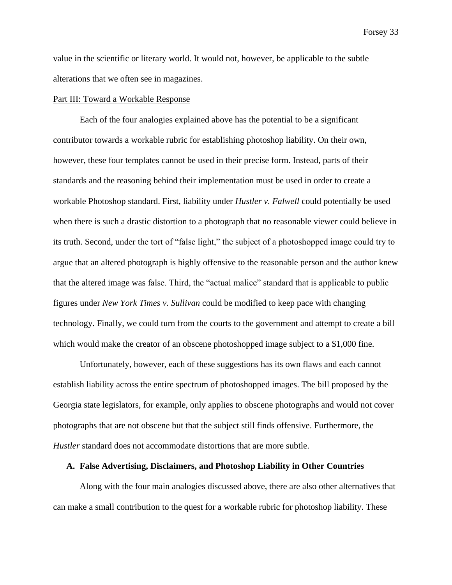value in the scientific or literary world. It would not, however, be applicable to the subtle alterations that we often see in magazines.

#### Part III: Toward a Workable Response

Each of the four analogies explained above has the potential to be a significant contributor towards a workable rubric for establishing photoshop liability. On their own, however, these four templates cannot be used in their precise form. Instead, parts of their standards and the reasoning behind their implementation must be used in order to create a workable Photoshop standard. First, liability under *Hustler v. Falwell* could potentially be used when there is such a drastic distortion to a photograph that no reasonable viewer could believe in its truth. Second, under the tort of "false light," the subject of a photoshopped image could try to argue that an altered photograph is highly offensive to the reasonable person and the author knew that the altered image was false. Third, the "actual malice" standard that is applicable to public figures under *New York Times v. Sullivan* could be modified to keep pace with changing technology. Finally, we could turn from the courts to the government and attempt to create a bill which would make the creator of an obscene photoshopped image subject to a \$1,000 fine.

Unfortunately, however, each of these suggestions has its own flaws and each cannot establish liability across the entire spectrum of photoshopped images. The bill proposed by the Georgia state legislators, for example, only applies to obscene photographs and would not cover photographs that are not obscene but that the subject still finds offensive. Furthermore, the *Hustler* standard does not accommodate distortions that are more subtle.

# **A. False Advertising, Disclaimers, and Photoshop Liability in Other Countries**

Along with the four main analogies discussed above, there are also other alternatives that can make a small contribution to the quest for a workable rubric for photoshop liability. These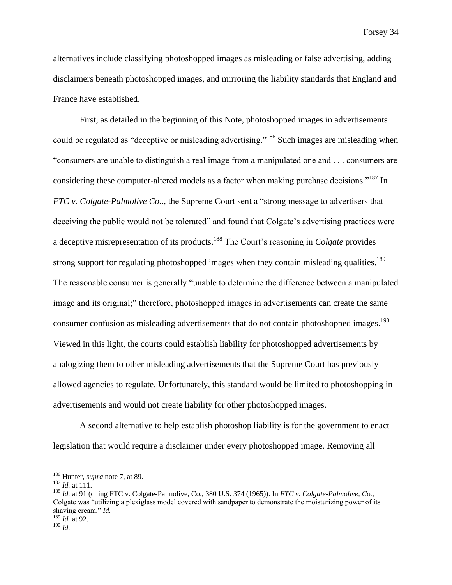alternatives include classifying photoshopped images as misleading or false advertising, adding disclaimers beneath photoshopped images, and mirroring the liability standards that England and France have established.

First, as detailed in the beginning of this Note, photoshopped images in advertisements could be regulated as "deceptive or misleading advertising."<sup>186</sup> Such images are misleading when "consumers are unable to distinguish a real image from a manipulated one and . . . consumers are considering these computer-altered models as a factor when making purchase decisions."<sup>187</sup> In *FTC v. Colgate-Palmolive Co.*., the Supreme Court sent a "strong message to advertisers that deceiving the public would not be tolerated" and found that Colgate's advertising practices were a deceptive misrepresentation of its products.<sup>188</sup> The Court's reasoning in *Colgate* provides strong support for regulating photoshopped images when they contain misleading qualities.<sup>189</sup> The reasonable consumer is generally "unable to determine the difference between a manipulated image and its original;" therefore, photoshopped images in advertisements can create the same consumer confusion as misleading advertisements that do not contain photoshopped images.<sup>190</sup> Viewed in this light, the courts could establish liability for photoshopped advertisements by analogizing them to other misleading advertisements that the Supreme Court has previously allowed agencies to regulate. Unfortunately, this standard would be limited to photoshopping in advertisements and would not create liability for other photoshopped images.

A second alternative to help establish photoshop liability is for the government to enact legislation that would require a disclaimer under every photoshopped image. Removing all

<sup>186</sup> Hunter, *supra* note 7, at 89.

<sup>187</sup> *Id.* at 111.

<sup>188</sup> *Id.* at 91 (citing FTC v. Colgate-Palmolive, Co., 380 U.S. 374 (1965)). In *FTC v. Colgate-Palmolive, Co.*, Colgate was "utilizing a plexiglass model covered with sandpaper to demonstrate the moisturizing power of its shaving cream." *Id.* <sup>189</sup> *Id.* at 92.

 $^{190}$   $^{141}$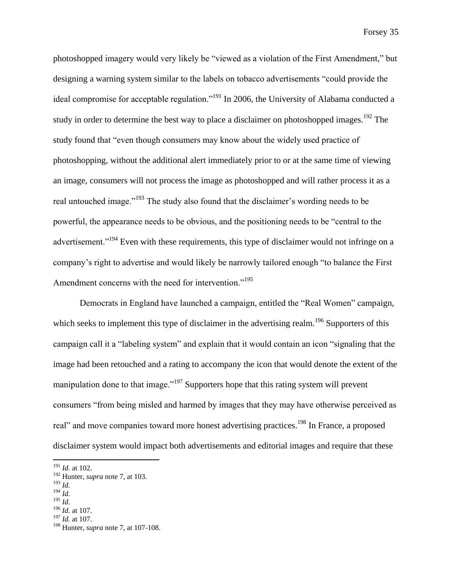photoshopped imagery would very likely be "viewed as a violation of the First Amendment," but designing a warning system similar to the labels on tobacco advertisements "could provide the ideal compromise for acceptable regulation."<sup>191</sup> In 2006, the University of Alabama conducted a study in order to determine the best way to place a disclaimer on photoshopped images.<sup>192</sup> The study found that "even though consumers may know about the widely used practice of photoshopping, without the additional alert immediately prior to or at the same time of viewing an image, consumers will not process the image as photoshopped and will rather process it as a real untouched image."<sup>193</sup> The study also found that the disclaimer's wording needs to be powerful, the appearance needs to be obvious, and the positioning needs to be "central to the advertisement."<sup>194</sup> Even with these requirements, this type of disclaimer would not infringe on a company's right to advertise and would likely be narrowly tailored enough "to balance the First Amendment concerns with the need for intervention."<sup>195</sup>

Democrats in England have launched a campaign, entitled the "Real Women" campaign, which seeks to implement this type of disclaimer in the advertising realm.<sup>196</sup> Supporters of this campaign call it a "labeling system" and explain that it would contain an icon "signaling that the image had been retouched and a rating to accompany the icon that would denote the extent of the manipulation done to that image."<sup>197</sup> Supporters hope that this rating system will prevent consumers "from being misled and harmed by images that they may have otherwise perceived as real" and move companies toward more honest advertising practices.<sup>198</sup> In France, a proposed disclaimer system would impact both advertisements and editorial images and require that these

- <sup>193</sup> *Id.*
- <sup>194</sup> *Id.*

 $\overline{a}$ 

<sup>195</sup> *Id.*

<sup>191</sup> *Id.* at 102.

<sup>192</sup> Hunter, *supra* note 7, at 103.

<sup>196</sup> *Id.* at 107. <sup>197</sup> *Id.* at 107.

<sup>198</sup> Hunter, *supra* note 7, at 107-108.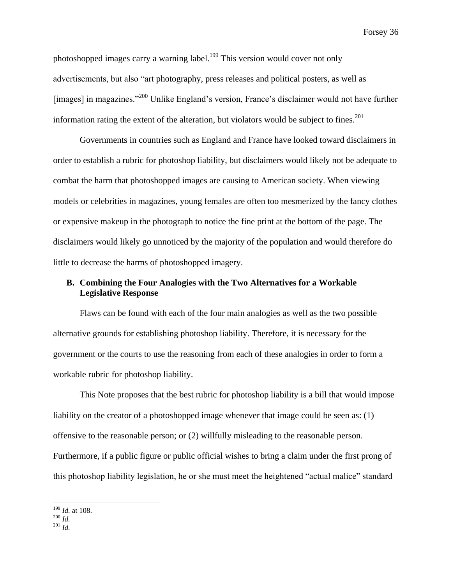photoshopped images carry a warning label.<sup>199</sup> This version would cover not only advertisements, but also "art photography, press releases and political posters, as well as [images] in magazines."<sup>200</sup> Unlike England's version, France's disclaimer would not have further information rating the extent of the alteration, but violators would be subject to fines.<sup>201</sup>

Governments in countries such as England and France have looked toward disclaimers in order to establish a rubric for photoshop liability, but disclaimers would likely not be adequate to combat the harm that photoshopped images are causing to American society. When viewing models or celebrities in magazines, young females are often too mesmerized by the fancy clothes or expensive makeup in the photograph to notice the fine print at the bottom of the page. The disclaimers would likely go unnoticed by the majority of the population and would therefore do little to decrease the harms of photoshopped imagery.

# **B. Combining the Four Analogies with the Two Alternatives for a Workable Legislative Response**

Flaws can be found with each of the four main analogies as well as the two possible alternative grounds for establishing photoshop liability. Therefore, it is necessary for the government or the courts to use the reasoning from each of these analogies in order to form a workable rubric for photoshop liability.

This Note proposes that the best rubric for photoshop liability is a bill that would impose liability on the creator of a photoshopped image whenever that image could be seen as: (1) offensive to the reasonable person; or (2) willfully misleading to the reasonable person. Furthermore, if a public figure or public official wishes to bring a claim under the first prong of this photoshop liability legislation, he or she must meet the heightened "actual malice" standard

<sup>199</sup> *Id.* at 108.

<sup>200</sup> *Id.*

<sup>201</sup> *Id.*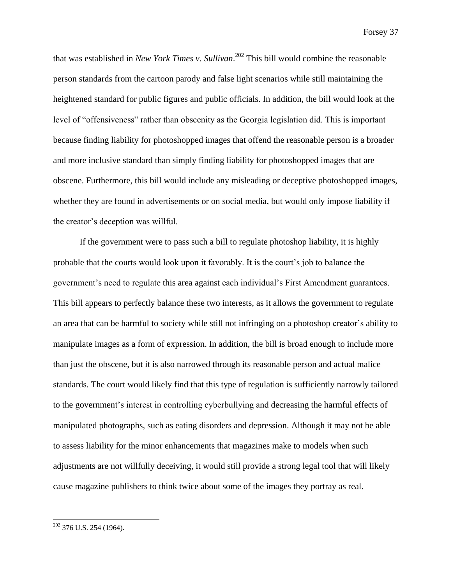that was established in *New York Times v. Sullivan*. <sup>202</sup> This bill would combine the reasonable person standards from the cartoon parody and false light scenarios while still maintaining the heightened standard for public figures and public officials. In addition, the bill would look at the level of "offensiveness" rather than obscenity as the Georgia legislation did. This is important because finding liability for photoshopped images that offend the reasonable person is a broader and more inclusive standard than simply finding liability for photoshopped images that are obscene. Furthermore, this bill would include any misleading or deceptive photoshopped images, whether they are found in advertisements or on social media, but would only impose liability if the creator's deception was willful.

If the government were to pass such a bill to regulate photoshop liability, it is highly probable that the courts would look upon it favorably. It is the court's job to balance the government's need to regulate this area against each individual's First Amendment guarantees. This bill appears to perfectly balance these two interests, as it allows the government to regulate an area that can be harmful to society while still not infringing on a photoshop creator's ability to manipulate images as a form of expression. In addition, the bill is broad enough to include more than just the obscene, but it is also narrowed through its reasonable person and actual malice standards. The court would likely find that this type of regulation is sufficiently narrowly tailored to the government's interest in controlling cyberbullying and decreasing the harmful effects of manipulated photographs, such as eating disorders and depression. Although it may not be able to assess liability for the minor enhancements that magazines make to models when such adjustments are not willfully deceiving, it would still provide a strong legal tool that will likely cause magazine publishers to think twice about some of the images they portray as real.

 $202$  376 U.S. 254 (1964).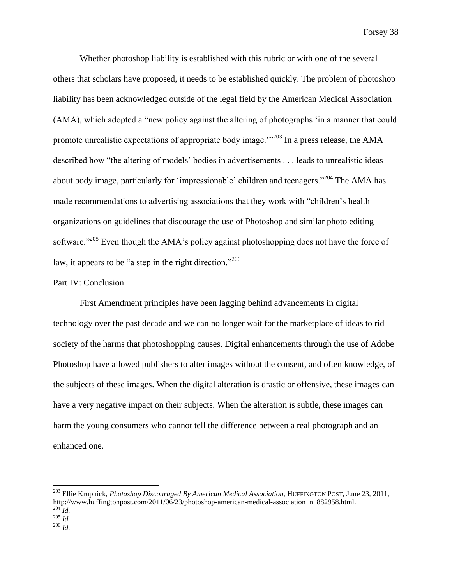Whether photoshop liability is established with this rubric or with one of the several others that scholars have proposed, it needs to be established quickly. The problem of photoshop liability has been acknowledged outside of the legal field by the American Medical Association (AMA), which adopted a "new policy against the altering of photographs 'in a manner that could promote unrealistic expectations of appropriate body image.<sup> $1203$ </sup> In a press release, the AMA described how "the altering of models' bodies in advertisements . . . leads to unrealistic ideas about body image, particularly for 'impressionable' children and teenagers."<sup>204</sup> The AMA has made recommendations to advertising associations that they work with "children's health organizations on guidelines that discourage the use of Photoshop and similar photo editing software."<sup>205</sup> Even though the AMA's policy against photoshopping does not have the force of law, it appears to be "a step in the right direction."<sup>206</sup>

#### Part IV: Conclusion

First Amendment principles have been lagging behind advancements in digital technology over the past decade and we can no longer wait for the marketplace of ideas to rid society of the harms that photoshopping causes. Digital enhancements through the use of Adobe Photoshop have allowed publishers to alter images without the consent, and often knowledge, of the subjects of these images. When the digital alteration is drastic or offensive, these images can have a very negative impact on their subjects. When the alteration is subtle, these images can harm the young consumers who cannot tell the difference between a real photograph and an enhanced one.

<sup>203</sup> Ellie Krupnick, *Photoshop Discouraged By American Medical Association*, HUFFINGTON POST, June 23, 2011, http://www.huffingtonpost.com/2011/06/23/photoshop-american-medical-association n 882958.html.  $204$  *Id.* 

<sup>206</sup> *Id.*